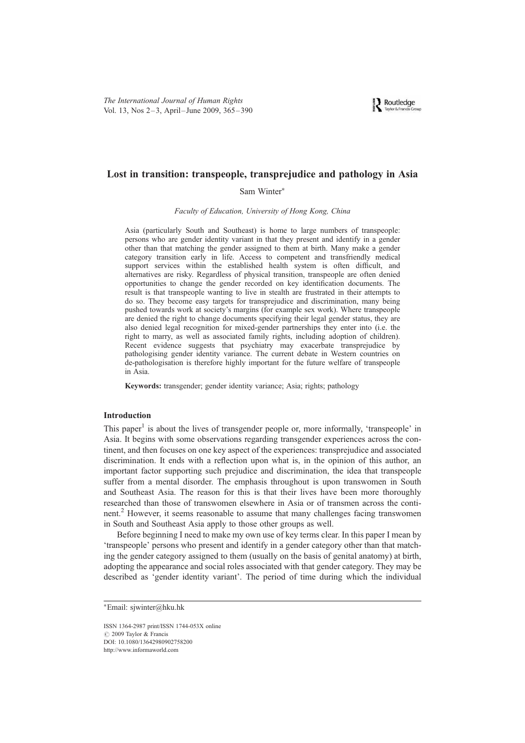# Lost in transition: transpeople, transprejudice and pathology in Asia

## Sam Winter\*

Faculty of Education, University of Hong Kong, China

Asia (particularly South and Southeast) is home to large numbers of transpeople: persons who are gender identity variant in that they present and identify in a gender other than that matching the gender assigned to them at birth. Many make a gender category transition early in life. Access to competent and transfriendly medical support services within the established health system is often difficult, and alternatives are risky. Regardless of physical transition, transpeople are often denied opportunities to change the gender recorded on key identification documents. The result is that transpeople wanting to live in stealth are frustrated in their attempts to do so. They become easy targets for transprejudice and discrimination, many being pushed towards work at society's margins (for example sex work). Where transpeople are denied the right to change documents specifying their legal gender status, they are also denied legal recognition for mixed-gender partnerships they enter into (i.e. the right to marry, as well as associated family rights, including adoption of children). Recent evidence suggests that psychiatry may exacerbate transprejudice by pathologising gender identity variance. The current debate in Western countries on de-pathologisation is therefore highly important for the future welfare of transpeople in Asia.

Keywords: transgender; gender identity variance; Asia; rights; pathology

#### Introduction

This paper<sup>1</sup> is about the lives of transgender people or, more informally, 'transpeople' in Asia. It begins with some observations regarding transgender experiences across the continent, and then focuses on one key aspect of the experiences: transprejudice and associated discrimination. It ends with a reflection upon what is, in the opinion of this author, an important factor supporting such prejudice and discrimination, the idea that transpeople suffer from a mental disorder. The emphasis throughout is upon transwomen in South and Southeast Asia. The reason for this is that their lives have been more thoroughly researched than those of transwomen elsewhere in Asia or of transmen across the continent.<sup>2</sup> However, it seems reasonable to assume that many challenges facing transwomen in South and Southeast Asia apply to those other groups as well.

Before beginning I need to make my own use of key terms clear. In this paper I mean by 'transpeople' persons who present and identify in a gender category other than that matching the gender category assigned to them (usually on the basis of genital anatomy) at birth, adopting the appearance and social roles associated with that gender category. They may be described as 'gender identity variant'. The period of time during which the individual

ISSN 1364-2987 print/ISSN 1744-053X online C 2009 Taylor & Francis DOI: 10.1080/13642980902758200 http://www.informaworld.com

<sup>-</sup>Email: sjwinter@hku.hk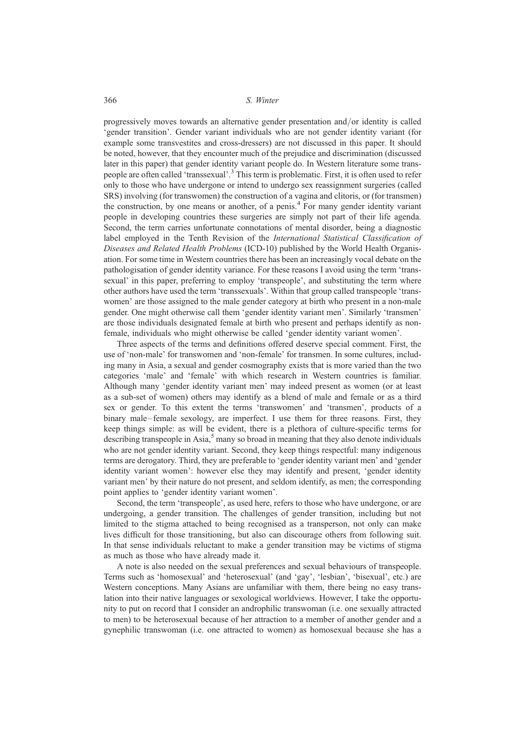progressively moves towards an alternative gender presentation and/or identity is called 'gender transition'. Gender variant individuals who are not gender identity variant (for example some transvestites and cross-dressers) are not discussed in this paper. It should be noted, however, that they encounter much of the prejudice and discrimination (discussed later in this paper) that gender identity variant people do. In Western literature some transpeople are often called 'transsexual'.<sup>3</sup> This term is problematic. First, it is often used to refer only to those who have undergone or intend to undergo sex reassignment surgeries (called SRS) involving (for transwomen) the construction of a vagina and clitoris, or (for transmen) the construction, by one means or another, of a penis.<sup>4</sup> For many gender identity variant people in developing countries these surgeries are simply not part of their life agenda. Second, the term carries unfortunate connotations of mental disorder, being a diagnostic label employed in the Tenth Revision of the *International Statistical Classification of* Diseases and Related Health Problems (ICD-10) published by the World Health Organisation. For some time in Western countries there has been an increasingly vocal debate on the pathologisation of gender identity variance. For these reasons I avoid using the term 'transsexual' in this paper, preferring to employ 'transpeople', and substituting the term where other authors have used the term 'transsexuals'. Within that group called transpeople 'transwomen' are those assigned to the male gender category at birth who present in a non-male gender. One might otherwise call them 'gender identity variant men'. Similarly 'transmen' are those individuals designated female at birth who present and perhaps identify as nonfemale, individuals who might otherwise be called 'gender identity variant women'.

Three aspects of the terms and definitions offered deserve special comment. First, the use of 'non-male' for transwomen and 'non-female' for transmen. In some cultures, including many in Asia, a sexual and gender cosmography exists that is more varied than the two categories 'male' and 'female' with which research in Western countries is familiar. Although many 'gender identity variant men' may indeed present as women (or at least as a sub-set of women) others may identify as a blend of male and female or as a third sex or gender. To this extent the terms 'transwomen' and 'transmen', products of a binary male – female sexology, are imperfect. I use them for three reasons. First, they keep things simple: as will be evident, there is a plethora of culture-specific terms for describing transpeople in Asia,<sup>5</sup> many so broad in meaning that they also denote individuals who are not gender identity variant. Second, they keep things respectful: many indigenous terms are derogatory. Third, they are preferable to 'gender identity variant men' and 'gender identity variant women': however else they may identify and present, 'gender identity variant men' by their nature do not present, and seldom identify, as men; the corresponding point applies to 'gender identity variant women'.

Second, the term 'transpeople', as used here, refers to those who have undergone, or are undergoing, a gender transition. The challenges of gender transition, including but not limited to the stigma attached to being recognised as a transperson, not only can make lives difficult for those transitioning, but also can discourage others from following suit. In that sense individuals reluctant to make a gender transition may be victims of stigma as much as those who have already made it.

A note is also needed on the sexual preferences and sexual behaviours of transpeople. Terms such as 'homosexual' and 'heterosexual' (and 'gay', 'lesbian', 'bisexual', etc.) are Western conceptions. Many Asians are unfamiliar with them, there being no easy translation into their native languages or sexological worldviews. However, I take the opportunity to put on record that I consider an androphilic transwoman (i.e. one sexually attracted to men) to be heterosexual because of her attraction to a member of another gender and a gynephilic transwoman (i.e. one attracted to women) as homosexual because she has a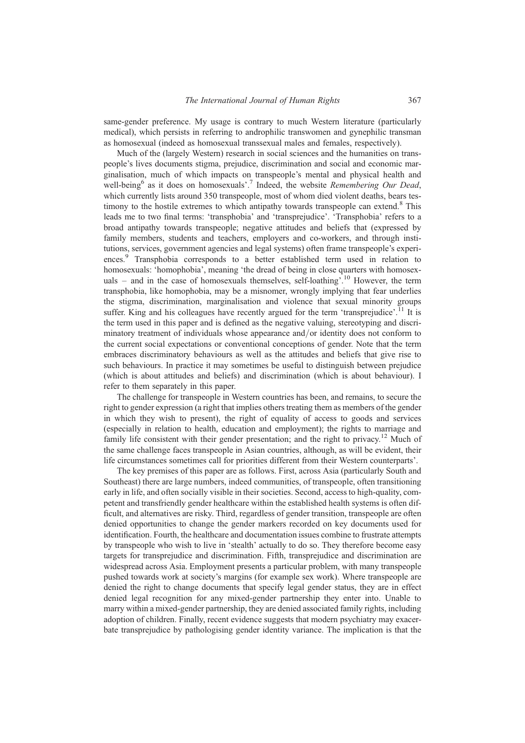same-gender preference. My usage is contrary to much Western literature (particularly medical), which persists in referring to androphilic transwomen and gynephilic transman as homosexual (indeed as homosexual transsexual males and females, respectively).

Much of the (largely Western) research in social sciences and the humanities on transpeople's lives documents stigma, prejudice, discrimination and social and economic marginalisation, much of which impacts on transpeople's mental and physical health and well-being<sup>6</sup> as it does on homosexuals'.<sup>7</sup> Indeed, the website Remembering Our Dead, which currently lists around 350 transpeople, most of whom died violent deaths, bears testimony to the hostile extremes to which antipathy towards transpeople can extend.<sup>8</sup> This leads me to two final terms: 'transphobia' and 'transprejudice'. 'Transphobia' refers to a broad antipathy towards transpeople; negative attitudes and beliefs that (expressed by family members, students and teachers, employers and co-workers, and through institutions, services, government agencies and legal systems) often frame transpeople's experiences.<sup>9</sup> Transphobia corresponds to a better established term used in relation to homosexuals: 'homophobia', meaning 'the dread of being in close quarters with homosexuals – and in the case of homosexuals themselves, self-loathing'.<sup>10</sup> However, the term transphobia, like homophobia, may be a misnomer, wrongly implying that fear underlies the stigma, discrimination, marginalisation and violence that sexual minority groups suffer. King and his colleagues have recently argued for the term 'transprejudice'.<sup>11</sup> It is the term used in this paper and is defined as the negative valuing, stereotyping and discriminatory treatment of individuals whose appearance and/or identity does not conform to the current social expectations or conventional conceptions of gender. Note that the term embraces discriminatory behaviours as well as the attitudes and beliefs that give rise to such behaviours. In practice it may sometimes be useful to distinguish between prejudice (which is about attitudes and beliefs) and discrimination (which is about behaviour). I refer to them separately in this paper.

The challenge for transpeople in Western countries has been, and remains, to secure the right to gender expression (a right that implies others treating them as members of the gender in which they wish to present), the right of equality of access to goods and services (especially in relation to health, education and employment); the rights to marriage and family life consistent with their gender presentation; and the right to privacy.<sup>12</sup> Much of the same challenge faces transpeople in Asian countries, although, as will be evident, their life circumstances sometimes call for priorities different from their Western counterparts'.

The key premises of this paper are as follows. First, across Asia (particularly South and Southeast) there are large numbers, indeed communities, of transpeople, often transitioning early in life, and often socially visible in their societies. Second, access to high-quality, competent and transfriendly gender healthcare within the established health systems is often difficult, and alternatives are risky. Third, regardless of gender transition, transpeople are often denied opportunities to change the gender markers recorded on key documents used for identification. Fourth, the healthcare and documentation issues combine to frustrate attempts by transpeople who wish to live in 'stealth' actually to do so. They therefore become easy targets for transprejudice and discrimination. Fifth, transprejudice and discrimination are widespread across Asia. Employment presents a particular problem, with many transpeople pushed towards work at society's margins (for example sex work). Where transpeople are denied the right to change documents that specify legal gender status, they are in effect denied legal recognition for any mixed-gender partnership they enter into. Unable to marry within a mixed-gender partnership, they are denied associated family rights, including adoption of children. Finally, recent evidence suggests that modern psychiatry may exacerbate transprejudice by pathologising gender identity variance. The implication is that the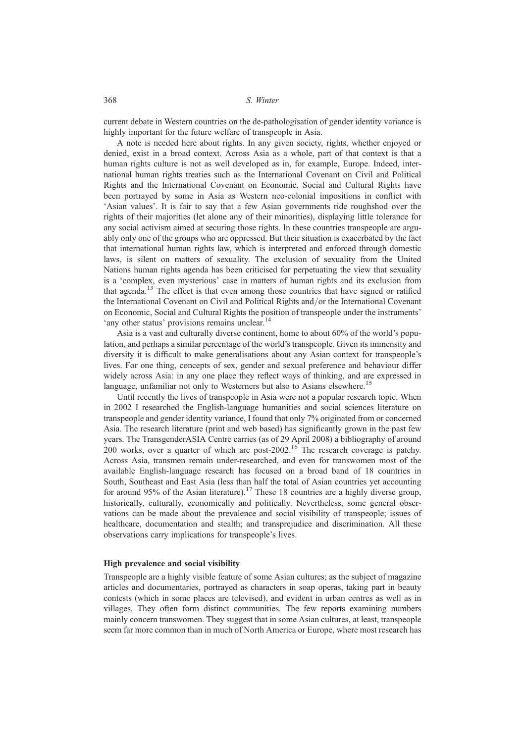current debate in Western countries on the de-pathologisation of gender identity variance is highly important for the future welfare of transpeople in Asia.

A note is needed here about rights. In any given society, rights, whether enjoyed or denied, exist in a broad context. Across Asia as a whole, part of that context is that a human rights culture is not as well developed as in, for example, Europe. Indeed, international human rights treaties such as the International Covenant on Civil and Political Rights and the International Covenant on Economic, Social and Cultural Rights have been portrayed by some in Asia as Western neo-colonial impositions in conflict with 'Asian values'. It is fair to say that a few Asian governments ride roughshod over the rights of their majorities (let alone any of their minorities), displaying little tolerance for any social activism aimed at securing those rights. In these countries transpeople are arguably only one of the groups who are oppressed. But their situation is exacerbated by the fact that international human rights law, which is interpreted and enforced through domestic laws, is silent on matters of sexuality. The exclusion of sexuality from the United Nations human rights agenda has been criticised for perpetuating the view that sexuality is a 'complex, even mysterious' case in matters of human rights and its exclusion from that agenda.<sup>13</sup> The effect is that even among those countries that have signed or ratified the International Covenant on Civil and Political Rights and/or the International Covenant on Economic, Social and Cultural Rights the position of transpeople under the instruments' 'any other status' provisions remains unclear.<sup>14</sup>

Asia is a vast and culturally diverse continent, home to about 60% of the world's population, and perhaps a similar percentage of the world's transpeople. Given its immensity and diversity it is difficult to make generalisations about any Asian context for transpeople's lives. For one thing, concepts of sex, gender and sexual preference and behaviour differ widely across Asia: in any one place they reflect ways of thinking, and are expressed in language, unfamiliar not only to Westerners but also to Asians elsewhere.<sup>15</sup>

Until recently the lives of transpeople in Asia were not a popular research topic. When in 2002 I researched the English-language humanities and social sciences literature on transpeople and gender identity variance, I found that only 7% originated from or concerned Asia. The research literature (print and web based) has significantly grown in the past few years. The TransgenderASIA Centre carries (as of 29 April 2008) a bibliography of around 200 works, over a quarter of which are post-2002.<sup>16</sup> The research coverage is patchy. Across Asia, transmen remain under-researched, and even for transwomen most of the available English-language research has focused on a broad band of 18 countries in South, Southeast and East Asia (less than half the total of Asian countries yet accounting for around 95% of the Asian literature).<sup>17</sup> These 18 countries are a highly diverse group, historically, culturally, economically and politically. Nevertheless, some general observations can be made about the prevalence and social visibility of transpeople; issues of healthcare, documentation and stealth; and transprejudice and discrimination. All these observations carry implications for transpeople's lives.

## High prevalence and social visibility

Transpeople are a highly visible feature of some Asian cultures; as the subject of magazine articles and documentaries, portrayed as characters in soap operas, taking part in beauty contests (which in some places are televised), and evident in urban centres as well as in villages. They often form distinct communities. The few reports examining numbers mainly concern transwomen. They suggest that in some Asian cultures, at least, transpeople seem far more common than in much of North America or Europe, where most research has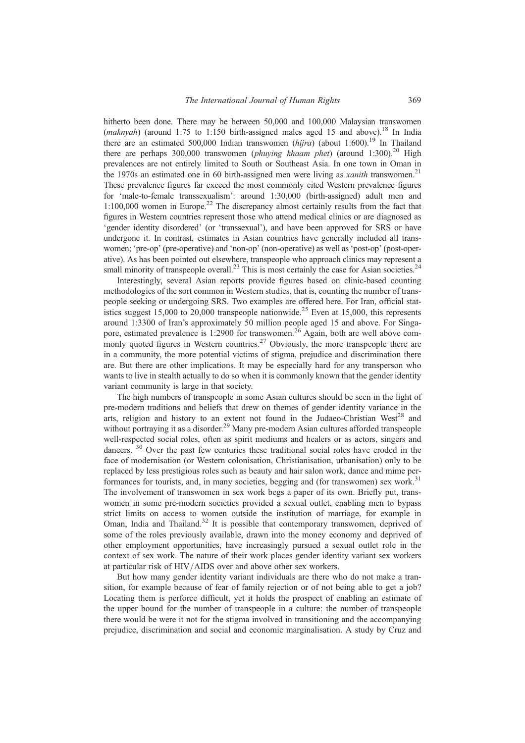hitherto been done. There may be between 50,000 and 100,000 Malaysian transwomen (*maknyah*) (around 1:75 to 1:150 birth-assigned males aged 15 and above).<sup>18</sup> In India there are an estimated 500,000 Indian transwomen  $(hijra)$  (about 1:600).<sup>19</sup> In Thailand there are perhaps 300,000 transwomen (*phuying khaam phet*) (around 1:300).<sup>20</sup> High prevalences are not entirely limited to South or Southeast Asia. In one town in Oman in the 1970s an estimated one in 60 birth-assigned men were living as *xanith* transwomen.<sup>21</sup> These prevalence figures far exceed the most commonly cited Western prevalence figures for 'male-to-female transsexualism': around 1:30,000 (birth-assigned) adult men and 1:100,000 women in Europe.<sup>22</sup> The discrepancy almost certainly results from the fact that figures in Western countries represent those who attend medical clinics or are diagnosed as 'gender identity disordered' (or 'transsexual'), and have been approved for SRS or have undergone it. In contrast, estimates in Asian countries have generally included all transwomen; 'pre-op' (pre-operative) and 'non-op' (non-operative) as well as 'post-op' (post-operative). As has been pointed out elsewhere, transpeople who approach clinics may represent a small minority of transpeople overall.<sup>23</sup> This is most certainly the case for Asian societies.<sup>24</sup>

Interestingly, several Asian reports provide figures based on clinic-based counting methodologies of the sort common in Western studies, that is, counting the number of transpeople seeking or undergoing SRS. Two examples are offered here. For Iran, official statistics suggest  $15,000$  to  $20,000$  transpeople nationwide.<sup>25</sup> Even at 15,000, this represents around 1:3300 of Iran's approximately 50 million people aged 15 and above. For Singapore, estimated prevalence is 1:2900 for transwomen.<sup>26</sup> Again, both are well above commonly quoted figures in Western countries.<sup>27</sup> Obviously, the more transpeople there are in a community, the more potential victims of stigma, prejudice and discrimination there are. But there are other implications. It may be especially hard for any transperson who wants to live in stealth actually to do so when it is commonly known that the gender identity variant community is large in that society.

The high numbers of transpeople in some Asian cultures should be seen in the light of pre-modern traditions and beliefs that drew on themes of gender identity variance in the arts, religion and history to an extent not found in the Judaeo-Christian West<sup>28</sup> and without portraying it as a disorder.<sup>29</sup> Many pre-modern Asian cultures afforded transpeople well-respected social roles, often as spirit mediums and healers or as actors, singers and dancers.<sup>30</sup> Over the past few centuries these traditional social roles have eroded in the face of modernisation (or Western colonisation, Christianisation, urbanisation) only to be replaced by less prestigious roles such as beauty and hair salon work, dance and mime performances for tourists, and, in many societies, begging and (for transwomen) sex work.<sup>31</sup> The involvement of transwomen in sex work begs a paper of its own. Briefly put, transwomen in some pre-modern societies provided a sexual outlet, enabling men to bypass strict limits on access to women outside the institution of marriage, for example in Oman, India and Thailand.<sup>32</sup> It is possible that contemporary transwomen, deprived of some of the roles previously available, drawn into the money economy and deprived of other employment opportunities, have increasingly pursued a sexual outlet role in the context of sex work. The nature of their work places gender identity variant sex workers at particular risk of HIV/AIDS over and above other sex workers.

But how many gender identity variant individuals are there who do not make a transition, for example because of fear of family rejection or of not being able to get a job? Locating them is perforce difficult, yet it holds the prospect of enabling an estimate of the upper bound for the number of transpeople in a culture: the number of transpeople there would be were it not for the stigma involved in transitioning and the accompanying prejudice, discrimination and social and economic marginalisation. A study by Cruz and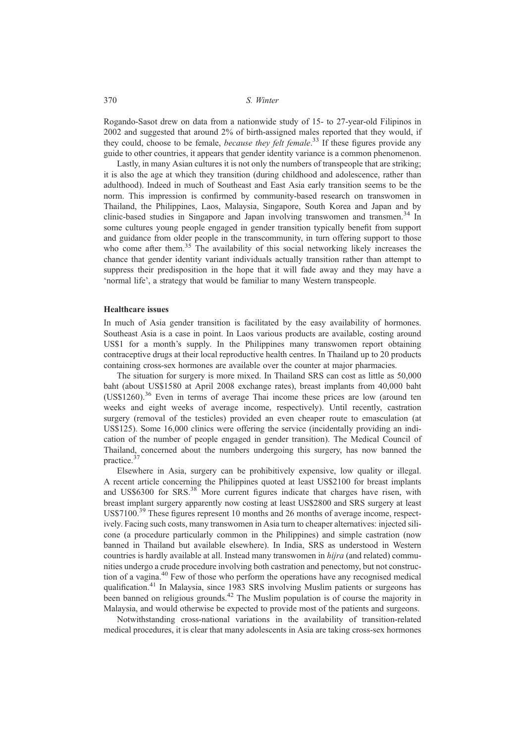Rogando-Sasot drew on data from a nationwide study of 15- to 27-year-old Filipinos in 2002 and suggested that around 2% of birth-assigned males reported that they would, if they could, choose to be female, *because they felt female*.<sup>33</sup> If these figures provide any guide to other countries, it appears that gender identity variance is a common phenomenon.

Lastly, in many Asian cultures it is not only the numbers of transpeople that are striking; it is also the age at which they transition (during childhood and adolescence, rather than adulthood). Indeed in much of Southeast and East Asia early transition seems to be the norm. This impression is confirmed by community-based research on transwomen in Thailand, the Philippines, Laos, Malaysia, Singapore, South Korea and Japan and by clinic-based studies in Singapore and Japan involving transwomen and transmen.<sup>34</sup> In some cultures young people engaged in gender transition typically benefit from support and guidance from older people in the transcommunity, in turn offering support to those who come after them.<sup>35</sup> The availability of this social networking likely increases the chance that gender identity variant individuals actually transition rather than attempt to suppress their predisposition in the hope that it will fade away and they may have a 'normal life', a strategy that would be familiar to many Western transpeople.

### Healthcare issues

In much of Asia gender transition is facilitated by the easy availability of hormones. Southeast Asia is a case in point. In Laos various products are available, costing around US\$1 for a month's supply. In the Philippines many transwomen report obtaining contraceptive drugs at their local reproductive health centres. In Thailand up to 20 products containing cross-sex hormones are available over the counter at major pharmacies.

The situation for surgery is more mixed. In Thailand SRS can cost as little as 50,000 baht (about US\$1580 at April 2008 exchange rates), breast implants from 40,000 baht  $(US$1260).$ <sup>36</sup> Even in terms of average Thai income these prices are low (around ten weeks and eight weeks of average income, respectively). Until recently, castration surgery (removal of the testicles) provided an even cheaper route to emasculation (at US\$125). Some 16,000 clinics were offering the service (incidentally providing an indication of the number of people engaged in gender transition). The Medical Council of Thailand, concerned about the numbers undergoing this surgery, has now banned the practice.<sup>37</sup>

Elsewhere in Asia, surgery can be prohibitively expensive, low quality or illegal. A recent article concerning the Philippines quoted at least US\$2100 for breast implants and US\$6300 for SRS.<sup>38</sup> More current figures indicate that charges have risen, with breast implant surgery apparently now costing at least US\$2800 and SRS surgery at least US\$7100.<sup>39</sup> These figures represent 10 months and 26 months of average income, respectively. Facing such costs, many transwomen in Asia turn to cheaper alternatives: injected silicone (a procedure particularly common in the Philippines) and simple castration (now banned in Thailand but available elsewhere). In India, SRS as understood in Western countries is hardly available at all. Instead many transwomen in *hijra* (and related) communities undergo a crude procedure involving both castration and penectomy, but not construction of a vagina.<sup>40</sup> Few of those who perform the operations have any recognised medical qualification.<sup>41</sup> In Malaysia, since 1983 SRS involving Muslim patients or surgeons has been banned on religious grounds.<sup>42</sup> The Muslim population is of course the majority in Malaysia, and would otherwise be expected to provide most of the patients and surgeons.

Notwithstanding cross-national variations in the availability of transition-related medical procedures, it is clear that many adolescents in Asia are taking cross-sex hormones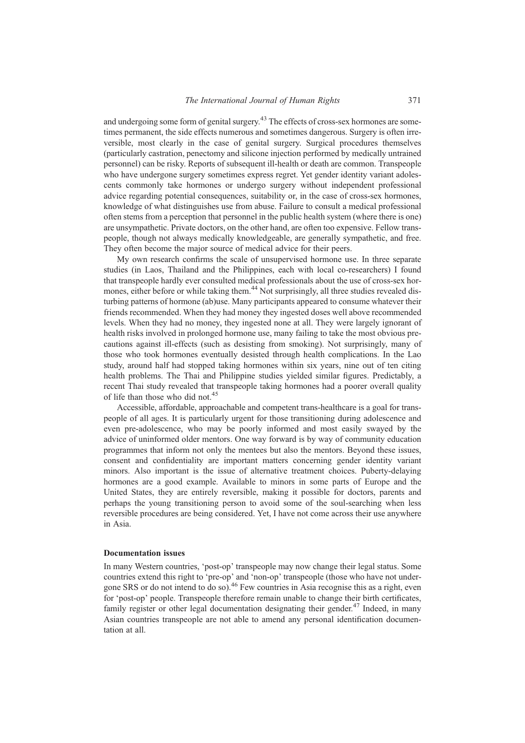and undergoing some form of genital surgery.<sup>43</sup> The effects of cross-sex hormones are sometimes permanent, the side effects numerous and sometimes dangerous. Surgery is often irreversible, most clearly in the case of genital surgery. Surgical procedures themselves (particularly castration, penectomy and silicone injection performed by medically untrained personnel) can be risky. Reports of subsequent ill-health or death are common. Transpeople who have undergone surgery sometimes express regret. Yet gender identity variant adolescents commonly take hormones or undergo surgery without independent professional advice regarding potential consequences, suitability or, in the case of cross-sex hormones, knowledge of what distinguishes use from abuse. Failure to consult a medical professional often stems from a perception that personnel in the public health system (where there is one) are unsympathetic. Private doctors, on the other hand, are often too expensive. Fellow transpeople, though not always medically knowledgeable, are generally sympathetic, and free. They often become the major source of medical advice for their peers.

My own research confirms the scale of unsupervised hormone use. In three separate studies (in Laos, Thailand and the Philippines, each with local co-researchers) I found that transpeople hardly ever consulted medical professionals about the use of cross-sex hormones, either before or while taking them.<sup>44</sup> Not surprisingly, all three studies revealed disturbing patterns of hormone (ab)use. Many participants appeared to consume whatever their friends recommended. When they had money they ingested doses well above recommended levels. When they had no money, they ingested none at all. They were largely ignorant of health risks involved in prolonged hormone use, many failing to take the most obvious precautions against ill-effects (such as desisting from smoking). Not surprisingly, many of those who took hormones eventually desisted through health complications. In the Lao study, around half had stopped taking hormones within six years, nine out of ten citing health problems. The Thai and Philippine studies yielded similar figures. Predictably, a recent Thai study revealed that transpeople taking hormones had a poorer overall quality of life than those who did not.<sup>45</sup>

Accessible, affordable, approachable and competent trans-healthcare is a goal for transpeople of all ages. It is particularly urgent for those transitioning during adolescence and even pre-adolescence, who may be poorly informed and most easily swayed by the advice of uninformed older mentors. One way forward is by way of community education programmes that inform not only the mentees but also the mentors. Beyond these issues, consent and confidentiality are important matters concerning gender identity variant minors. Also important is the issue of alternative treatment choices. Puberty-delaying hormones are a good example. Available to minors in some parts of Europe and the United States, they are entirely reversible, making it possible for doctors, parents and perhaps the young transitioning person to avoid some of the soul-searching when less reversible procedures are being considered. Yet, I have not come across their use anywhere in Asia.

#### Documentation issues

In many Western countries, 'post-op' transpeople may now change their legal status. Some countries extend this right to 'pre-op' and 'non-op' transpeople (those who have not undergone SRS or do not intend to do so).<sup>46</sup> Few countries in Asia recognise this as a right, even for 'post-op' people. Transpeople therefore remain unable to change their birth certificates, family register or other legal documentation designating their gender.<sup>47</sup> Indeed, in many Asian countries transpeople are not able to amend any personal identification documentation at all.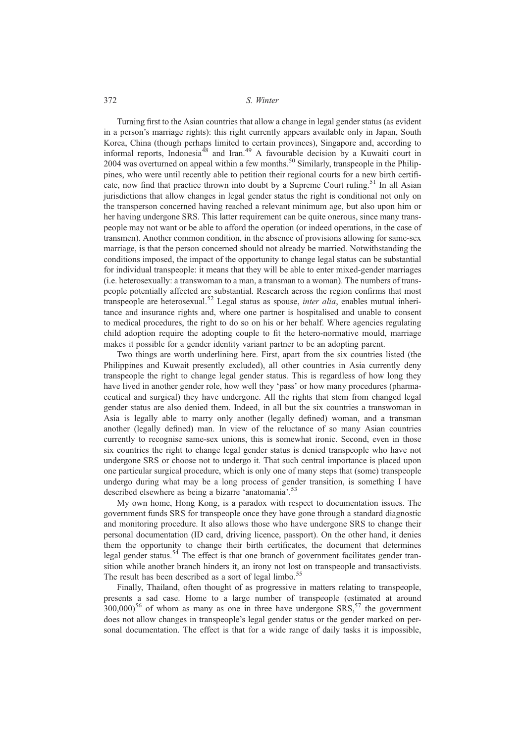Turning first to the Asian countries that allow a change in legal gender status (as evident in a person's marriage rights): this right currently appears available only in Japan, South Korea, China (though perhaps limited to certain provinces), Singapore and, according to informal reports, Indonesia<sup>48</sup> and Iran.<sup>49</sup> A favourable decision by a Kuwaiti court in 2004 was overturned on appeal within a few months.<sup>50</sup> Similarly, transpeople in the Philippines, who were until recently able to petition their regional courts for a new birth certificate, now find that practice thrown into doubt by a Supreme Court ruling.<sup>51</sup> In all Asian jurisdictions that allow changes in legal gender status the right is conditional not only on the transperson concerned having reached a relevant minimum age, but also upon him or her having undergone SRS. This latter requirement can be quite onerous, since many transpeople may not want or be able to afford the operation (or indeed operations, in the case of transmen). Another common condition, in the absence of provisions allowing for same-sex marriage, is that the person concerned should not already be married. Notwithstanding the conditions imposed, the impact of the opportunity to change legal status can be substantial for individual transpeople: it means that they will be able to enter mixed-gender marriages (i.e. heterosexually: a transwoman to a man, a transman to a woman). The numbers of transpeople potentially affected are substantial. Research across the region confirms that most transpeople are heterosexual.<sup>52</sup> Legal status as spouse, *inter alia*, enables mutual inheritance and insurance rights and, where one partner is hospitalised and unable to consent to medical procedures, the right to do so on his or her behalf. Where agencies regulating child adoption require the adopting couple to fit the hetero-normative mould, marriage makes it possible for a gender identity variant partner to be an adopting parent.

Two things are worth underlining here. First, apart from the six countries listed (the Philippines and Kuwait presently excluded), all other countries in Asia currently deny transpeople the right to change legal gender status. This is regardless of how long they have lived in another gender role, how well they 'pass' or how many procedures (pharmaceutical and surgical) they have undergone. All the rights that stem from changed legal gender status are also denied them. Indeed, in all but the six countries a transwoman in Asia is legally able to marry only another (legally defined) woman, and a transman another (legally defined) man. In view of the reluctance of so many Asian countries currently to recognise same-sex unions, this is somewhat ironic. Second, even in those six countries the right to change legal gender status is denied transpeople who have not undergone SRS or choose not to undergo it. That such central importance is placed upon one particular surgical procedure, which is only one of many steps that (some) transpeople undergo during what may be a long process of gender transition, is something I have described elsewhere as being a bizarre 'anatomania'.<sup>53</sup>

My own home, Hong Kong, is a paradox with respect to documentation issues. The government funds SRS for transpeople once they have gone through a standard diagnostic and monitoring procedure. It also allows those who have undergone SRS to change their personal documentation (ID card, driving licence, passport). On the other hand, it denies them the opportunity to change their birth certificates, the document that determines legal gender status.<sup>54</sup> The effect is that one branch of government facilitates gender transition while another branch hinders it, an irony not lost on transpeople and transactivists. The result has been described as a sort of legal limbo.<sup>55</sup>

Finally, Thailand, often thought of as progressive in matters relating to transpeople, presents a sad case. Home to a large number of transpeople (estimated at around  $300,000$ <sup>56</sup> of whom as many as one in three have undergone SRS.<sup>57</sup> the government does not allow changes in transpeople's legal gender status or the gender marked on personal documentation. The effect is that for a wide range of daily tasks it is impossible,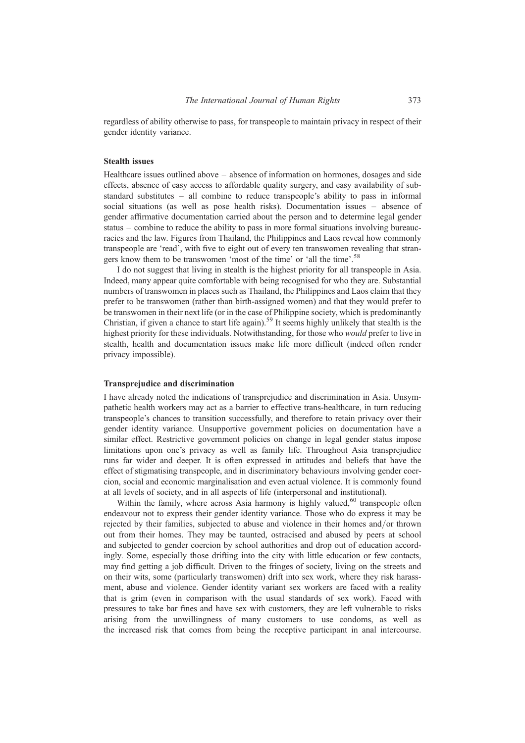regardless of ability otherwise to pass, for transpeople to maintain privacy in respect of their gender identity variance.

## Stealth issues

Healthcare issues outlined above – absence of information on hormones, dosages and side effects, absence of easy access to affordable quality surgery, and easy availability of substandard substitutes – all combine to reduce transpeople's ability to pass in informal social situations (as well as pose health risks). Documentation issues – absence of gender affirmative documentation carried about the person and to determine legal gender status – combine to reduce the ability to pass in more formal situations involving bureaucracies and the law. Figures from Thailand, the Philippines and Laos reveal how commonly transpeople are 'read', with five to eight out of every ten transwomen revealing that strangers know them to be transwomen 'most of the time' or 'all the time'.<sup>58</sup>

I do not suggest that living in stealth is the highest priority for all transpeople in Asia. Indeed, many appear quite comfortable with being recognised for who they are. Substantial numbers of transwomen in places such as Thailand, the Philippines and Laos claim that they prefer to be transwomen (rather than birth-assigned women) and that they would prefer to be transwomen in their next life (or in the case of Philippine society, which is predominantly Christian, if given a chance to start life again).<sup>59</sup> It seems highly unlikely that stealth is the highest priority for these individuals. Notwithstanding, for those who would prefer to live in stealth, health and documentation issues make life more difficult (indeed often render privacy impossible).

#### Transprejudice and discrimination

I have already noted the indications of transprejudice and discrimination in Asia. Unsympathetic health workers may act as a barrier to effective trans-healthcare, in turn reducing transpeople's chances to transition successfully, and therefore to retain privacy over their gender identity variance. Unsupportive government policies on documentation have a similar effect. Restrictive government policies on change in legal gender status impose limitations upon one's privacy as well as family life. Throughout Asia transprejudice runs far wider and deeper. It is often expressed in attitudes and beliefs that have the effect of stigmatising transpeople, and in discriminatory behaviours involving gender coercion, social and economic marginalisation and even actual violence. It is commonly found at all levels of society, and in all aspects of life (interpersonal and institutional).

Within the family, where across Asia harmony is highly valued,  $60$  transpeople often endeavour not to express their gender identity variance. Those who do express it may be rejected by their families, subjected to abuse and violence in their homes and/or thrown out from their homes. They may be taunted, ostracised and abused by peers at school and subjected to gender coercion by school authorities and drop out of education accordingly. Some, especially those drifting into the city with little education or few contacts, may find getting a job difficult. Driven to the fringes of society, living on the streets and on their wits, some (particularly transwomen) drift into sex work, where they risk harassment, abuse and violence. Gender identity variant sex workers are faced with a reality that is grim (even in comparison with the usual standards of sex work). Faced with pressures to take bar fines and have sex with customers, they are left vulnerable to risks arising from the unwillingness of many customers to use condoms, as well as the increased risk that comes from being the receptive participant in anal intercourse.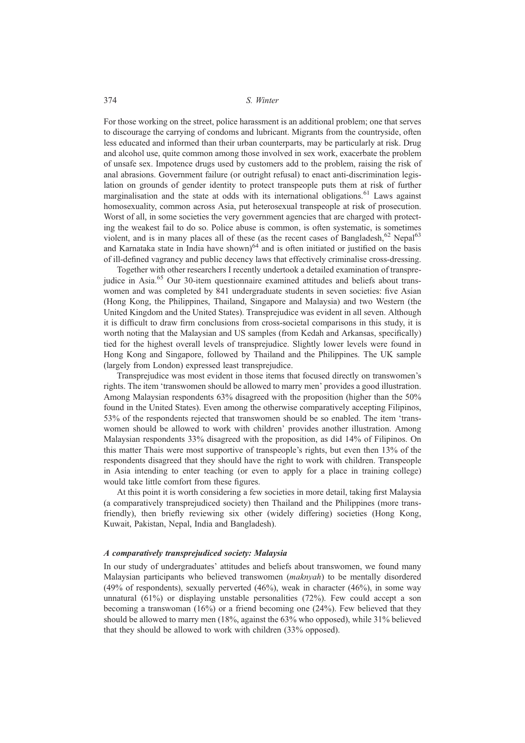For those working on the street, police harassment is an additional problem; one that serves to discourage the carrying of condoms and lubricant. Migrants from the countryside, often less educated and informed than their urban counterparts, may be particularly at risk. Drug and alcohol use, quite common among those involved in sex work, exacerbate the problem of unsafe sex. Impotence drugs used by customers add to the problem, raising the risk of anal abrasions. Government failure (or outright refusal) to enact anti-discrimination legislation on grounds of gender identity to protect transpeople puts them at risk of further marginalisation and the state at odds with its international obligations.<sup>61</sup> Laws against homosexuality, common across Asia, put heterosexual transpeople at risk of prosecution. Worst of all, in some societies the very government agencies that are charged with protecting the weakest fail to do so. Police abuse is common, is often systematic, is sometimes violent, and is in many places all of these (as the recent cases of Bangladesh,<sup>62</sup> Nepal<sup>63</sup> and Karnataka state in India have shown) $64$  and is often initiated or justified on the basis of ill-defined vagrancy and public decency laws that effectively criminalise cross-dressing.

Together with other researchers I recently undertook a detailed examination of transprejudice in Asia.<sup>65</sup> Our 30-item questionnaire examined attitudes and beliefs about transwomen and was completed by 841 undergraduate students in seven societies: five Asian (Hong Kong, the Philippines, Thailand, Singapore and Malaysia) and two Western (the United Kingdom and the United States). Transprejudice was evident in all seven. Although it is difficult to draw firm conclusions from cross-societal comparisons in this study, it is worth noting that the Malaysian and US samples (from Kedah and Arkansas, specifically) tied for the highest overall levels of transprejudice. Slightly lower levels were found in Hong Kong and Singapore, followed by Thailand and the Philippines. The UK sample (largely from London) expressed least transprejudice.

Transprejudice was most evident in those items that focused directly on transwomen's rights. The item 'transwomen should be allowed to marry men' provides a good illustration. Among Malaysian respondents 63% disagreed with the proposition (higher than the 50% found in the United States). Even among the otherwise comparatively accepting Filipinos, 53% of the respondents rejected that transwomen should be so enabled. The item 'transwomen should be allowed to work with children' provides another illustration. Among Malaysian respondents 33% disagreed with the proposition, as did 14% of Filipinos. On this matter Thais were most supportive of transpeople's rights, but even then 13% of the respondents disagreed that they should have the right to work with children. Transpeople in Asia intending to enter teaching (or even to apply for a place in training college) would take little comfort from these figures.

At this point it is worth considering a few societies in more detail, taking first Malaysia (a comparatively transprejudiced society) then Thailand and the Philippines (more transfriendly), then briefly reviewing six other (widely differing) societies (Hong Kong, Kuwait, Pakistan, Nepal, India and Bangladesh).

## A comparatively transprejudiced society: Malaysia

In our study of undergraduates' attitudes and beliefs about transwomen, we found many Malaysian participants who believed transwomen (maknyah) to be mentally disordered (49% of respondents), sexually perverted (46%), weak in character (46%), in some way unnatural  $(61\%)$  or displaying unstable personalities  $(72\%)$ . Few could accept a son becoming a transwoman (16%) or a friend becoming one (24%). Few believed that they should be allowed to marry men (18%, against the 63% who opposed), while 31% believed that they should be allowed to work with children (33% opposed).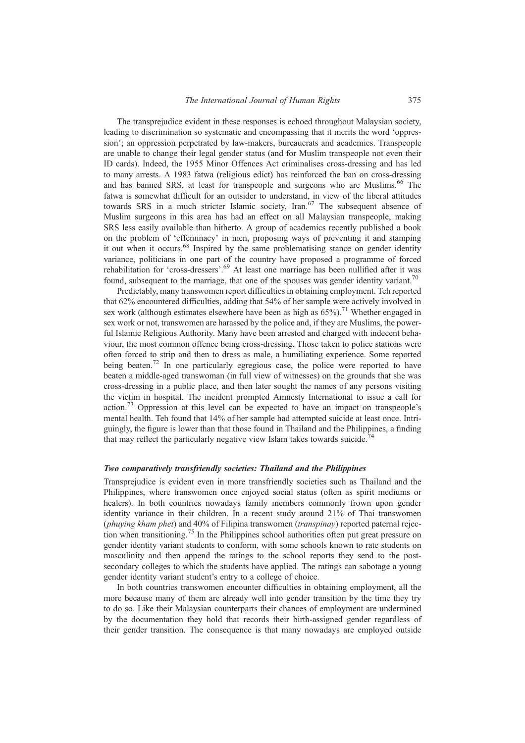The transprejudice evident in these responses is echoed throughout Malaysian society, leading to discrimination so systematic and encompassing that it merits the word 'oppression'; an oppression perpetrated by law-makers, bureaucrats and academics. Transpeople are unable to change their legal gender status (and for Muslim transpeople not even their ID cards). Indeed, the 1955 Minor Offences Act criminalises cross-dressing and has led to many arrests. A 1983 fatwa (religious edict) has reinforced the ban on cross-dressing and has banned SRS, at least for transpeople and surgeons who are Muslims.<sup>66</sup> The fatwa is somewhat difficult for an outsider to understand, in view of the liberal attitudes towards SRS in a much stricter Islamic society, Iran.<sup>67</sup> The subsequent absence of Muslim surgeons in this area has had an effect on all Malaysian transpeople, making SRS less easily available than hitherto. A group of academics recently published a book on the problem of 'effeminacy' in men, proposing ways of preventing it and stamping it out when it occurs.<sup>68</sup> Inspired by the same problematising stance on gender identity variance, politicians in one part of the country have proposed a programme of forced rehabilitation for 'cross-dressers'.<sup>69</sup> At least one marriage has been nullified after it was found, subsequent to the marriage, that one of the spouses was gender identity variant.<sup>70</sup>

Predictably, many transwomen report difficulties in obtaining employment. Teh reported that 62% encountered difficulties, adding that 54% of her sample were actively involved in sex work (although estimates elsewhere have been as high as  $65\%$ ).<sup>71</sup> Whether engaged in sex work or not, transwomen are harassed by the police and, if they are Muslims, the powerful Islamic Religious Authority. Many have been arrested and charged with indecent behaviour, the most common offence being cross-dressing. Those taken to police stations were often forced to strip and then to dress as male, a humiliating experience. Some reported being beaten.<sup>72</sup> In one particularly egregious case, the police were reported to have beaten a middle-aged transwoman (in full view of witnesses) on the grounds that she was cross-dressing in a public place, and then later sought the names of any persons visiting the victim in hospital. The incident prompted Amnesty International to issue a call for action.<sup>73</sup> Oppression at this level can be expected to have an impact on transpeople's mental health. Teh found that 14% of her sample had attempted suicide at least once. Intriguingly, the figure is lower than that those found in Thailand and the Philippines, a finding that may reflect the particularly negative view Islam takes towards suicide.<sup>74</sup>

## Two comparatively transfriendly societies: Thailand and the Philippines

Transprejudice is evident even in more transfriendly societies such as Thailand and the Philippines, where transwomen once enjoyed social status (often as spirit mediums or healers). In both countries nowadays family members commonly frown upon gender identity variance in their children. In a recent study around 21% of Thai transwomen (phuying kham phet) and 40% of Filipina transwomen (transpinay) reported paternal rejection when transitioning.<sup>75</sup> In the Philippines school authorities often put great pressure on gender identity variant students to conform, with some schools known to rate students on masculinity and then append the ratings to the school reports they send to the postsecondary colleges to which the students have applied. The ratings can sabotage a young gender identity variant student's entry to a college of choice.

In both countries transwomen encounter difficulties in obtaining employment, all the more because many of them are already well into gender transition by the time they try to do so. Like their Malaysian counterparts their chances of employment are undermined by the documentation they hold that records their birth-assigned gender regardless of their gender transition. The consequence is that many nowadays are employed outside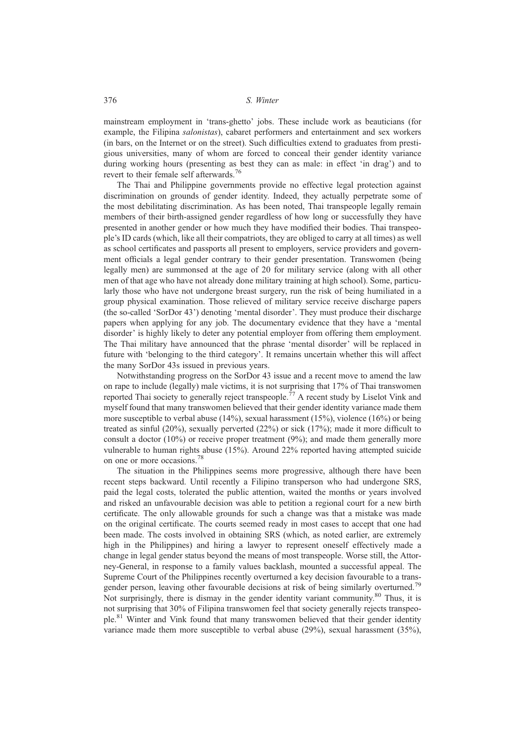mainstream employment in 'trans-ghetto' jobs. These include work as beauticians (for example, the Filipina salonistas), cabaret performers and entertainment and sex workers (in bars, on the Internet or on the street). Such difficulties extend to graduates from prestigious universities, many of whom are forced to conceal their gender identity variance during working hours (presenting as best they can as male: in effect 'in drag') and to revert to their female self afterwards.<sup>76</sup>

The Thai and Philippine governments provide no effective legal protection against discrimination on grounds of gender identity. Indeed, they actually perpetrate some of the most debilitating discrimination. As has been noted, Thai transpeople legally remain members of their birth-assigned gender regardless of how long or successfully they have presented in another gender or how much they have modified their bodies. Thai transpeople's ID cards (which, like all their compatriots, they are obliged to carry at all times) as well as school certificates and passports all present to employers, service providers and government officials a legal gender contrary to their gender presentation. Transwomen (being legally men) are summonsed at the age of 20 for military service (along with all other men of that age who have not already done military training at high school). Some, particularly those who have not undergone breast surgery, run the risk of being humiliated in a group physical examination. Those relieved of military service receive discharge papers (the so-called 'SorDor 43') denoting 'mental disorder'. They must produce their discharge papers when applying for any job. The documentary evidence that they have a 'mental disorder' is highly likely to deter any potential employer from offering them employment. The Thai military have announced that the phrase 'mental disorder' will be replaced in future with 'belonging to the third category'. It remains uncertain whether this will affect the many SorDor 43s issued in previous years.

Notwithstanding progress on the SorDor 43 issue and a recent move to amend the law on rape to include (legally) male victims, it is not surprising that 17% of Thai transwomen reported Thai society to generally reject transpeople.<sup> $77$ </sup> A recent study by Liselot Vink and myself found that many transwomen believed that their gender identity variance made them more susceptible to verbal abuse (14%), sexual harassment (15%), violence (16%) or being treated as sinful (20%), sexually perverted (22%) or sick (17%); made it more difficult to consult a doctor (10%) or receive proper treatment (9%); and made them generally more vulnerable to human rights abuse (15%). Around 22% reported having attempted suicide on one or more occasions.<sup>78</sup>

The situation in the Philippines seems more progressive, although there have been recent steps backward. Until recently a Filipino transperson who had undergone SRS, paid the legal costs, tolerated the public attention, waited the months or years involved and risked an unfavourable decision was able to petition a regional court for a new birth certificate. The only allowable grounds for such a change was that a mistake was made on the original certificate. The courts seemed ready in most cases to accept that one had been made. The costs involved in obtaining SRS (which, as noted earlier, are extremely high in the Philippines) and hiring a lawyer to represent oneself effectively made a change in legal gender status beyond the means of most transpeople. Worse still, the Attorney-General, in response to a family values backlash, mounted a successful appeal. The Supreme Court of the Philippines recently overturned a key decision favourable to a transgender person, leaving other favourable decisions at risk of being similarly overturned.<sup>79</sup> Not surprisingly, there is dismay in the gender identity variant community.<sup>80</sup> Thus, it is not surprising that 30% of Filipina transwomen feel that society generally rejects transpeople.<sup>81</sup> Winter and Vink found that many transwomen believed that their gender identity variance made them more susceptible to verbal abuse (29%), sexual harassment (35%),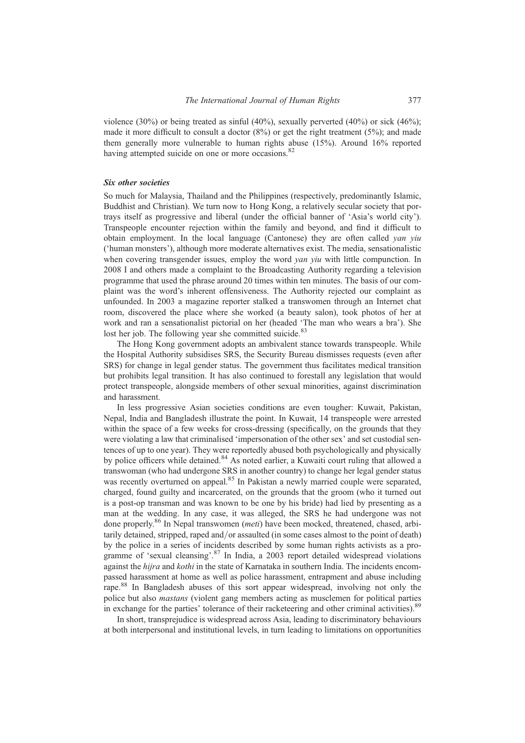violence (30%) or being treated as sinful (40%), sexually perverted (40%) or sick (46%); made it more difficult to consult a doctor (8%) or get the right treatment (5%); and made them generally more vulnerable to human rights abuse (15%). Around 16% reported having attempted suicide on one or more occasions.<sup>82</sup>

#### Six other societies

So much for Malaysia, Thailand and the Philippines (respectively, predominantly Islamic, Buddhist and Christian). We turn now to Hong Kong, a relatively secular society that portrays itself as progressive and liberal (under the official banner of 'Asia's world city'). Transpeople encounter rejection within the family and beyond, and find it difficult to obtain employment. In the local language (Cantonese) they are often called *yan yiu* ('human monsters'), although more moderate alternatives exist. The media, sensationalistic when covering transgender issues, employ the word *yan yiu* with little compunction. In 2008 I and others made a complaint to the Broadcasting Authority regarding a television programme that used the phrase around 20 times within ten minutes. The basis of our complaint was the word's inherent offensiveness. The Authority rejected our complaint as unfounded. In 2003 a magazine reporter stalked a transwomen through an Internet chat room, discovered the place where she worked (a beauty salon), took photos of her at work and ran a sensationalist pictorial on her (headed 'The man who wears a bra'). She lost her job. The following year she committed suicide.<sup>83</sup>

The Hong Kong government adopts an ambivalent stance towards transpeople. While the Hospital Authority subsidises SRS, the Security Bureau dismisses requests (even after SRS) for change in legal gender status. The government thus facilitates medical transition but prohibits legal transition. It has also continued to forestall any legislation that would protect transpeople, alongside members of other sexual minorities, against discrimination and harassment.

In less progressive Asian societies conditions are even tougher: Kuwait, Pakistan, Nepal, India and Bangladesh illustrate the point. In Kuwait, 14 transpeople were arrested within the space of a few weeks for cross-dressing (specifically, on the grounds that they were violating a law that criminalised 'impersonation of the other sex' and set custodial sentences of up to one year). They were reportedly abused both psychologically and physically by police officers while detained. $84$  As noted earlier, a Kuwaiti court ruling that allowed a transwoman (who had undergone SRS in another country) to change her legal gender status was recently overturned on appeal.<sup>85</sup> In Pakistan a newly married couple were separated, charged, found guilty and incarcerated, on the grounds that the groom (who it turned out is a post-op transman and was known to be one by his bride) had lied by presenting as a man at the wedding. In any case, it was alleged, the SRS he had undergone was not done properly.<sup>86</sup> In Nepal transwomen (*meti*) have been mocked, threatened, chased, arbitarily detained, stripped, raped and/or assaulted (in some cases almost to the point of death) by the police in a series of incidents described by some human rights activists as a programme of 'sexual cleansing'.<sup>87</sup> In India, a 2003 report detailed widespread violations against the *hiira* and *kothi* in the state of Karnataka in southern India. The incidents encompassed harassment at home as well as police harassment, entrapment and abuse including rape.<sup>88</sup> In Bangladesh abuses of this sort appear widespread, involving not only the police but also mastans (violent gang members acting as musclemen for political parties in exchange for the parties' tolerance of their racketeering and other criminal activities).<sup>89</sup>

In short, transprejudice is widespread across Asia, leading to discriminatory behaviours at both interpersonal and institutional levels, in turn leading to limitations on opportunities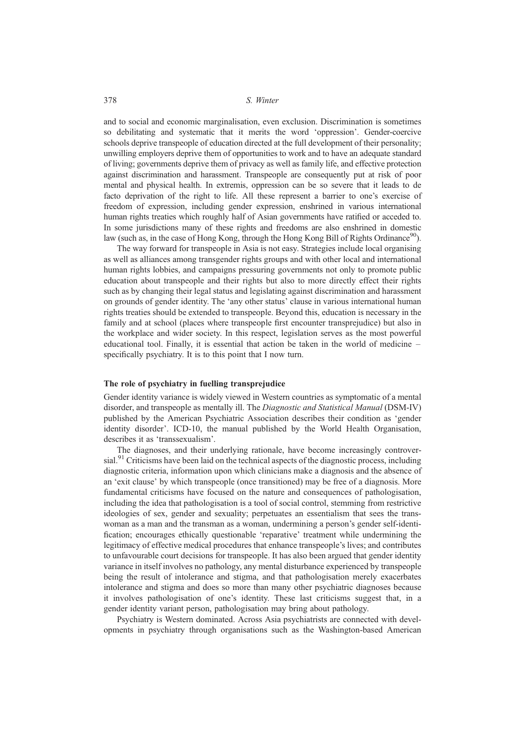and to social and economic marginalisation, even exclusion. Discrimination is sometimes so debilitating and systematic that it merits the word 'oppression'. Gender-coercive schools deprive transpeople of education directed at the full development of their personality; unwilling employers deprive them of opportunities to work and to have an adequate standard of living; governments deprive them of privacy as well as family life, and effective protection against discrimination and harassment. Transpeople are consequently put at risk of poor mental and physical health. In extremis, oppression can be so severe that it leads to de facto deprivation of the right to life. All these represent a barrier to one's exercise of freedom of expression, including gender expression, enshrined in various international human rights treaties which roughly half of Asian governments have ratified or acceded to. In some jurisdictions many of these rights and freedoms are also enshrined in domestic law (such as, in the case of Hong Kong, through the Hong Kong Bill of Rights Ordinance<sup>90</sup>).

The way forward for transpeople in Asia is not easy. Strategies include local organising as well as alliances among transgender rights groups and with other local and international human rights lobbies, and campaigns pressuring governments not only to promote public education about transpeople and their rights but also to more directly effect their rights such as by changing their legal status and legislating against discrimination and harassment on grounds of gender identity. The 'any other status' clause in various international human rights treaties should be extended to transpeople. Beyond this, education is necessary in the family and at school (places where transpeople first encounter transprejudice) but also in the workplace and wider society. In this respect, legislation serves as the most powerful educational tool. Finally, it is essential that action be taken in the world of medicine – specifically psychiatry. It is to this point that I now turn.

## The role of psychiatry in fuelling transprejudice

Gender identity variance is widely viewed in Western countries as symptomatic of a mental disorder, and transpeople as mentally ill. The Diagnostic and Statistical Manual (DSM-IV) published by the American Psychiatric Association describes their condition as 'gender identity disorder'. ICD-10, the manual published by the World Health Organisation, describes it as 'transsexualism'.

The diagnoses, and their underlying rationale, have become increasingly controversial.<sup>91</sup> Criticisms have been laid on the technical aspects of the diagnostic process, including diagnostic criteria, information upon which clinicians make a diagnosis and the absence of an 'exit clause' by which transpeople (once transitioned) may be free of a diagnosis. More fundamental criticisms have focused on the nature and consequences of pathologisation, including the idea that pathologisation is a tool of social control, stemming from restrictive ideologies of sex, gender and sexuality; perpetuates an essentialism that sees the transwoman as a man and the transman as a woman, undermining a person's gender self-identification; encourages ethically questionable 'reparative' treatment while undermining the legitimacy of effective medical procedures that enhance transpeople's lives; and contributes to unfavourable court decisions for transpeople. It has also been argued that gender identity variance in itself involves no pathology, any mental disturbance experienced by transpeople being the result of intolerance and stigma, and that pathologisation merely exacerbates intolerance and stigma and does so more than many other psychiatric diagnoses because it involves pathologisation of one's identity. These last criticisms suggest that, in a gender identity variant person, pathologisation may bring about pathology.

Psychiatry is Western dominated. Across Asia psychiatrists are connected with developments in psychiatry through organisations such as the Washington-based American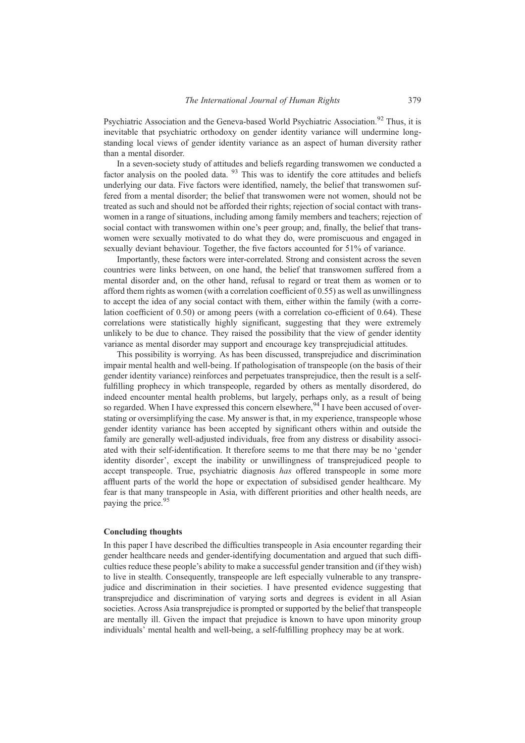Psychiatric Association and the Geneva-based World Psychiatric Association.<sup>92</sup> Thus, it is inevitable that psychiatric orthodoxy on gender identity variance will undermine longstanding local views of gender identity variance as an aspect of human diversity rather than a mental disorder.

In a seven-society study of attitudes and beliefs regarding transwomen we conducted a factor analysis on the pooled data. <sup>93</sup> This was to identify the core attitudes and beliefs underlying our data. Five factors were identified, namely, the belief that transwomen suffered from a mental disorder; the belief that transwomen were not women, should not be treated as such and should not be afforded their rights; rejection of social contact with transwomen in a range of situations, including among family members and teachers; rejection of social contact with transwomen within one's peer group; and, finally, the belief that transwomen were sexually motivated to do what they do, were promiscuous and engaged in sexually deviant behaviour. Together, the five factors accounted for 51% of variance.

Importantly, these factors were inter-correlated. Strong and consistent across the seven countries were links between, on one hand, the belief that transwomen suffered from a mental disorder and, on the other hand, refusal to regard or treat them as women or to afford them rights as women (with a correlation coefficient of 0.55) as well as unwillingness to accept the idea of any social contact with them, either within the family (with a correlation coefficient of 0.50) or among peers (with a correlation co-efficient of 0.64). These correlations were statistically highly significant, suggesting that they were extremely unlikely to be due to chance. They raised the possibility that the view of gender identity variance as mental disorder may support and encourage key transprejudicial attitudes.

This possibility is worrying. As has been discussed, transprejudice and discrimination impair mental health and well-being. If pathologisation of transpeople (on the basis of their gender identity variance) reinforces and perpetuates transprejudice, then the result is a selffulfilling prophecy in which transpeople, regarded by others as mentally disordered, do indeed encounter mental health problems, but largely, perhaps only, as a result of being so regarded. When I have expressed this concern elsewhere,  $94$  I have been accused of overstating or oversimplifying the case. My answer is that, in my experience, transpeople whose gender identity variance has been accepted by significant others within and outside the family are generally well-adjusted individuals, free from any distress or disability associated with their self-identification. It therefore seems to me that there may be no 'gender identity disorder', except the inability or unwillingness of transprejudiced people to accept transpeople. True, psychiatric diagnosis has offered transpeople in some more affluent parts of the world the hope or expectation of subsidised gender healthcare. My fear is that many transpeople in Asia, with different priorities and other health needs, are paying the price.<sup>95</sup>

## Concluding thoughts

In this paper I have described the difficulties transpeople in Asia encounter regarding their gender healthcare needs and gender-identifying documentation and argued that such difficulties reduce these people's ability to make a successful gender transition and (if they wish) to live in stealth. Consequently, transpeople are left especially vulnerable to any transprejudice and discrimination in their societies. I have presented evidence suggesting that transprejudice and discrimination of varying sorts and degrees is evident in all Asian societies. Across Asia transprejudice is prompted or supported by the belief that transpeople are mentally ill. Given the impact that prejudice is known to have upon minority group individuals' mental health and well-being, a self-fulfilling prophecy may be at work.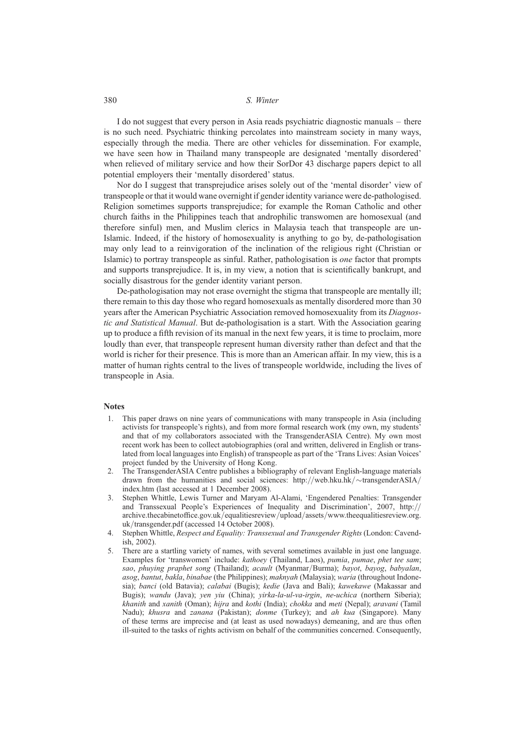I do not suggest that every person in Asia reads psychiatric diagnostic manuals – there is no such need. Psychiatric thinking percolates into mainstream society in many ways, especially through the media. There are other vehicles for dissemination. For example, we have seen how in Thailand many transpeople are designated 'mentally disordered' when relieved of military service and how their SorDor 43 discharge papers depict to all potential employers their 'mentally disordered' status.

Nor do I suggest that transprejudice arises solely out of the 'mental disorder' view of transpeople or that it would wane overnight if gender identity variance were de-pathologised. Religion sometimes supports transprejudice; for example the Roman Catholic and other church faiths in the Philippines teach that androphilic transwomen are homosexual (and therefore sinful) men, and Muslim clerics in Malaysia teach that transpeople are un-Islamic. Indeed, if the history of homosexuality is anything to go by, de-pathologisation may only lead to a reinvigoration of the inclination of the religious right (Christian or Islamic) to portray transpeople as sinful. Rather, pathologisation is one factor that prompts and supports transprejudice. It is, in my view, a notion that is scientifically bankrupt, and socially disastrous for the gender identity variant person.

De-pathologisation may not erase overnight the stigma that transpeople are mentally ill; there remain to this day those who regard homosexuals as mentally disordered more than 30 years after the American Psychiatric Association removed homosexuality from its Diagnostic and Statistical Manual. But de-pathologisation is a start. With the Association gearing up to produce a fifth revision of its manual in the next few years, it is time to proclaim, more loudly than ever, that transpeople represent human diversity rather than defect and that the world is richer for their presence. This is more than an American affair. In my view, this is a matter of human rights central to the lives of transpeople worldwide, including the lives of transpeople in Asia.

#### **Notes**

- 1. This paper draws on nine years of communications with many transpeople in Asia (including activists for transpeople's rights), and from more formal research work (my own, my students' and that of my collaborators associated with the TransgenderASIA Centre). My own most recent work has been to collect autobiographies (oral and written, delivered in English or translated from local languages into English) of transpeople as part of the 'Trans Lives: Asian Voices' project funded by the University of Hong Kong.
- 2. The TransgenderASIA Centre publishes a bibliography of relevant English-language materials drawn from the humanities and social sciences: http://web.hku.hk/~transgenderASIA/ index.htm (last accessed at 1 December 2008).
- 3. Stephen Whittle, Lewis Turner and Maryam Al-Alami, 'Engendered Penalties: Transgender and Transsexual People's Experiences of Inequality and Discrimination', 2007, http:// archive.thecabinetoffice.gov.uk/equalitiesreview/upload/assets/www.theequalitiesreview.org. uk/transgender.pdf (accessed 14 October 2008).
- 4. Stephen Whittle, Respect and Equality: Transsexual and Transgender Rights (London: Cavendish, 2002).
- 5. There are a startling variety of names, with several sometimes available in just one language. Examples for 'transwomen' include: kathoey (Thailand, Laos), pumia, pumae, phet tee sam; sao, phuying praphet song (Thailand); acault (Myanmar/Burma); bayot, bayog, babyalan, asog, bantut, bakla, binabae (the Philippines); maknyah (Malaysia); waria (throughout Indonesia); banci (old Batavia); calabai (Bugis); kedie (Java and Bali); kawekawe (Makassar and Bugis); wandu (Java); yen yiu (China); yirka-la-ul-va-irgin, ne-uchica (northern Siberia); khanith and xanith (Oman); hijra and kothi (India); chokka and meti (Nepal); aravani (Tamil Nadu); khusra and zanana (Pakistan); donme (Turkey); and ah kua (Singapore). Many of these terms are imprecise and (at least as used nowadays) demeaning, and are thus often ill-suited to the tasks of rights activism on behalf of the communities concerned. Consequently,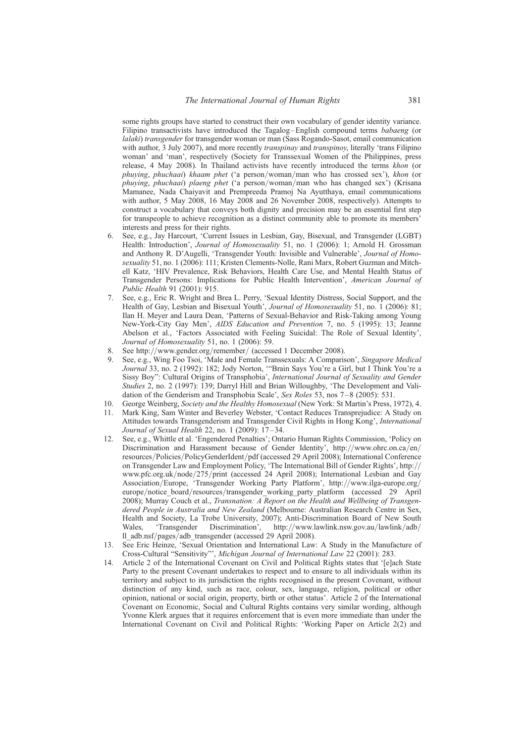some rights groups have started to construct their own vocabulary of gender identity variance. Filipino transactivists have introduced the Tagalog-English compound terms babaeng (or lalaki) transgender for transgender woman or man (Sass Rogando-Sasot, email communication with author, 3 July 2007), and more recently *transpinay* and *transpinoy*, literally 'trans Filipino woman' and 'man', respectively (Society for Transsexual Women of the Philippines, press release, 4 May 2008). In Thailand activists have recently introduced the terms khon (or phuying, phuchaai) khaam phet ('a person/woman/man who has crossed sex'), khon (or phuying, phuchaai) plaeng phet ('a person/woman/man who has changed sex') (Krisana Mamanee, Nada Chaiyavit and Prempreeda Pramoj Na Ayutthaya, email communications with author, 5 May 2008, 16 May 2008 and 26 November 2008, respectively). Attempts to construct a vocabulary that conveys both dignity and precision may be an essential first step for transpeople to achieve recognition as a distinct community able to promote its members' interests and press for their rights.

- 6. See, e.g., Jay Harcourt, 'Current Issues in Lesbian, Gay, Bisexual, and Transgender (LGBT) Health: Introduction', Journal of Homosexuality 51, no. 1 (2006): 1; Arnold H. Grossman and Anthony R. D'Augelli, 'Transgender Youth: Invisible and Vulnerable', Journal of Homosexuality 51, no. 1 (2006): 111; Kristen Clements-Nolle, Rani Marx, Robert Guzman and Mitchell Katz, 'HIV Prevalence, Risk Behaviors, Health Care Use, and Mental Health Status of Transgender Persons: Implications for Public Health Intervention', American Journal of Public Health 91 (2001): 915.
- 7. See, e.g., Eric R. Wright and Brea L. Perry, 'Sexual Identity Distress, Social Support, and the Health of Gay, Lesbian and Bisexual Youth', Journal of Homosexuality 51, no. 1 (2006): 81; Ilan H. Meyer and Laura Dean, 'Patterns of Sexual-Behavior and Risk-Taking among Young New-York-City Gay Men', AIDS Education and Prevention 7, no. 5 (1995): 13; Jeanne Abelson et al., 'Factors Associated with Feeling Suicidal: The Role of Sexual Identity', Journal of Homosexuality 51, no. 1 (2006): 59.
- 8. See http://www.gender.org/remember/ (accessed 1 December 2008).
- 9. See, e.g., Wing Foo Tsoi, 'Male and Female Transsexuals: A Comparison', Singapore Medical Journal 33, no. 2 (1992): 182; Jody Norton, '"Brain Says You're a Girl, but I Think You're a Sissy Boy": Cultural Origins of Transphobia', International Journal of Sexuality and Gender Studies 2, no. 2 (1997): 139; Darryl Hill and Brian Willoughby, 'The Development and Validation of the Genderism and Transphobia Scale', Sex Roles 53, nos 7–8 (2005): 531.
- 10. George Weinberg, Society and the Healthy Homosexual (New York: St Martin's Press, 1972), 4.
- 11. Mark King, Sam Winter and Beverley Webster, 'Contact Reduces Transprejudice: A Study on Attitudes towards Transgenderism and Transgender Civil Rights in Hong Kong', International Journal of Sexual Health 22, no. 1 (2009): 17–34.
- 12. See, e.g., Whittle et al. 'Engendered Penalties'; Ontario Human Rights Commission, 'Policy on Discrimination and Harassment because of Gender Identity', http://www.ohrc.on.ca/en/ resources/Policies/PolicyGenderIdent/pdf (accessed 29 April 2008); International Conference on Transgender Law and Employment Policy, 'The International Bill of Gender Rights', http:// www.pfc.org.uk/node/275/print (accessed 24 April 2008); International Lesbian and Gay Association/Europe, 'Transgender Working Party Platform', http://www.ilga-europe.org/ europe/notice\_board/resources/transgender\_working\_party\_platform (accessed 29 April 2008); Murray Couch et al., Transnation: A Report on the Health and Wellbeing of Transgendered People in Australia and New Zealand (Melbourne: Australian Research Centre in Sex, Health and Society, La Trobe University, 2007); Anti-Discrimination Board of New South Wales. Transgender Discrimination', http://www.lawlink.nsw.gov.au/lawlink/adb/ Wales, 'Transgender Discrimination', http://www.lawlink.nsw.gov.au/lawlink/adb/ ll\_adb.nsf/pages/adb\_transgender (accessed 29 April 2008).
- 13. See Eric Heinze, 'Sexual Orientation and International Law: A Study in the Manufacture of Cross-Cultural "Sensitivity"', Michigan Journal of International Law 22 (2001): 283.
- 14. Article 2 of the International Covenant on Civil and Political Rights states that '[e]ach State Party to the present Covenant undertakes to respect and to ensure to all individuals within its territory and subject to its jurisdiction the rights recognised in the present Covenant, without distinction of any kind, such as race, colour, sex, language, religion, political or other opinion, national or social origin, property, birth or other status'. Article 2 of the International Covenant on Economic, Social and Cultural Rights contains very similar wording, although Yvonne Klerk argues that it requires enforcement that is even more immediate than under the International Covenant on Civil and Political Rights: 'Working Paper on Article 2(2) and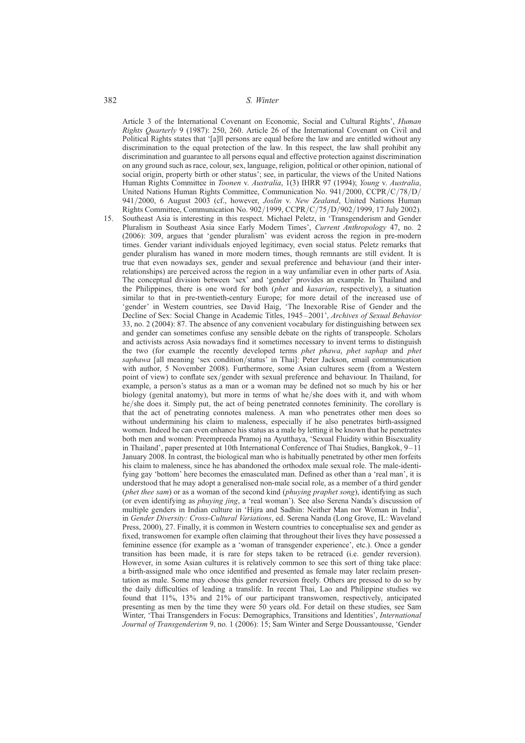Article 3 of the International Covenant on Economic, Social and Cultural Rights', Human Rights Quarterly 9 (1987): 250, 260. Article 26 of the International Covenant on Civil and Political Rights states that '[a]ll persons are equal before the law and are entitled without any discrimination to the equal protection of the law. In this respect, the law shall prohibit any discrimination and guarantee to all persons equal and effective protection against discrimination on any ground such as race, colour, sex, language, religion, political or other opinion, national of social origin, property birth or other status'; see, in particular, the views of the United Nations Human Rights Committee in Toonen v. Australia, 1(3) IHRR 97 (1994); Young v. Australia, United Nations Human Rights Committee, Communication No. 941/2000, CCPR/C/78/D/ 941/2000, 6 August 2003 (cf., however, Joslin v. New Zealand, United Nations Human Rights Committee, Communication No. 902/1999, CCPR/C/75/D/902/1999, 17 July 2002). 15. Southeast Asia is interesting in this respect. Michael Peletz, in 'Transgenderism and Gender Pluralism in Southeast Asia since Early Modern Times', Current Anthropology 47, no. 2 (2006): 309, argues that 'gender pluralism' was evident across the region in pre-modern times. Gender variant individuals enjoyed legitimacy, even social status. Peletz remarks that gender pluralism has waned in more modern times, though remnants are still evident. It is true that even nowadays sex, gender and sexual preference and behaviour (and their interrelationships) are perceived across the region in a way unfamiliar even in other parts of Asia. The conceptual division between 'sex' and 'gender' provides an example. In Thailand and the Philippines, there is one word for both (phet and kasarian, respectively), a situation similar to that in pre-twentieth-century Europe; for more detail of the increased use of 'gender' in Western countries, see David Haig, 'The Inexorable Rise of Gender and the Decline of Sex: Social Change in Academic Titles, 1945–2001', Archives of Sexual Behavior 33, no. 2 (2004): 87. The absence of any convenient vocabulary for distinguishing between sex and gender can sometimes confuse any sensible debate on the rights of transpeople. Scholars and activists across Asia nowadays find it sometimes necessary to invent terms to distinguish the two (for example the recently developed terms phet phawa, phet saphap and phet saphawa [all meaning 'sex condition/status' in Thail: Peter Jackson, email communication with author, 5 November 2008). Furthermore, some Asian cultures seem (from a Western point of view) to conflate sex/gender with sexual preference and behaviour. In Thailand, for example, a person's status as a man or a woman may be defined not so much by his or her biology (genital anatomy), but more in terms of what he/she does with it, and with whom he/she does it. Simply put, the act of being penetrated connotes femininity. The corollary is that the act of penetrating connotes maleness. A man who penetrates other men does so without undermining his claim to maleness, especially if he also penetrates birth-assigned women. Indeed he can even enhance his status as a male by letting it be known that he penetrates both men and women: Preempreeda Pramoj na Ayutthaya, 'Sexual Fluidity within Bisexuality in Thailand', paper presented at 10th International Conference of Thai Studies, Bangkok, 9–11 January 2008. In contrast, the biological man who is habitually penetrated by other men forfeits his claim to maleness, since he has abandoned the orthodox male sexual role. The male-identifying gay 'bottom' here becomes the emasculated man. Defined as other than a 'real man', it is understood that he may adopt a generalised non-male social role, as a member of a third gender (*phet thee sam*) or as a woman of the second kind (*phuying praphet song*), identifying as such (or even identifying as phuying jing, a 'real woman'). See also Serena Nanda's discussion of multiple genders in Indian culture in 'Hijra and Sadhin: Neither Man nor Woman in India', in Gender Diversity: Cross-Cultural Variations, ed. Serena Nanda (Long Grove, IL: Waveland Press, 2000), 27. Finally, it is common in Western countries to conceptualise sex and gender as fixed, transwomen for example often claiming that throughout their lives they have possessed a feminine essence (for example as a 'woman of transgender experience', etc.). Once a gender transition has been made, it is rare for steps taken to be retraced (i.e. gender reversion). However, in some Asian cultures it is relatively common to see this sort of thing take place: a birth-assigned male who once identified and presented as female may later reclaim presentation as male. Some may choose this gender reversion freely. Others are pressed to do so by the daily difficulties of leading a translife. In recent Thai, Lao and Philippine studies we found that 11%, 13% and 21% of our participant transwomen, respectively, anticipated presenting as men by the time they were 50 years old. For detail on these studies, see Sam Winter, 'Thai Transgenders in Focus: Demographics, Transitions and Identities', International Journal of Transgenderism 9, no. 1 (2006): 15; Sam Winter and Serge Doussantousse, 'Gender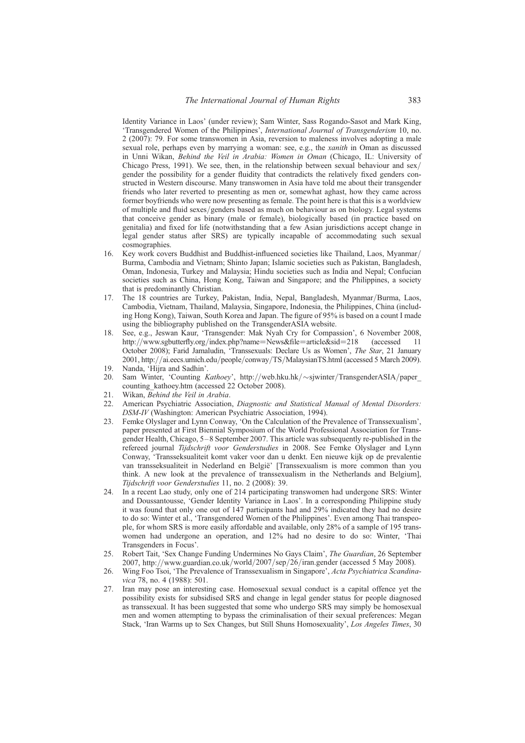Identity Variance in Laos' (under review); Sam Winter, Sass Rogando-Sasot and Mark King, 'Transgendered Women of the Philippines', International Journal of Transgenderism 10, no. 2 (2007): 79. For some transwomen in Asia, reversion to maleness involves adopting a male sexual role, perhaps even by marrying a woman: see, e.g., the xanith in Oman as discussed in Unni Wikan, Behind the Veil in Arabia: Women in Oman (Chicago, IL: University of Chicago Press, 1991). We see, then, in the relationship between sexual behaviour and  $sex/$ gender the possibility for a gender fluidity that contradicts the relatively fixed genders constructed in Western discourse. Many transwomen in Asia have told me about their transgender friends who later reverted to presenting as men or, somewhat aghast, how they came across former boyfriends who were now presenting as female. The point here is that this is a worldview of multiple and fluid sexes/genders based as much on behaviour as on biology. Legal systems that conceive gender as binary (male or female), biologically based (in practice based on genitalia) and fixed for life (notwithstanding that a few Asian jurisdictions accept change in legal gender status after SRS) are typically incapable of accommodating such sexual cosmographies.

- 16. Key work covers Buddhist and Buddhist-influenced societies like Thailand, Laos, Myanmar/ Burma, Cambodia and Vietnam; Shinto Japan; Islamic societies such as Pakistan, Bangladesh, Oman, Indonesia, Turkey and Malaysia; Hindu societies such as India and Nepal; Confucian societies such as China, Hong Kong, Taiwan and Singapore; and the Philippines, a society that is predominantly Christian.
- 17. The 18 countries are Turkey, Pakistan, India, Nepal, Bangladesh, Myanmar/Burma, Laos, Cambodia, Vietnam, Thailand, Malaysia, Singapore, Indonesia, the Philippines, China (including Hong Kong), Taiwan, South Korea and Japan. The figure of 95% is based on a count I made using the bibliography published on the TransgenderASIA website.
- 18. See, e.g., Jeswan Kaur, 'Transgender: Mak Nyah Cry for Compassion', 6 November 2008, http://www.sgbutterfly.org/index.php?name=News&file=article&sid=218 (accessed 11 October 2008); Farid Jamaludin, 'Transsexuals: Declare Us as Women', The Star, 21 January 2001, http://ai.eecs.umich.edu/people/conway/TS/MalaysianTS.html (accessed 5 March 2009). 19. Nanda, 'Hijra and Sadhin'.
- 20. Sam Winter, 'Counting Kathoey', http://web.hku.hk/~sjwinter/TransgenderASIA/paper\_ counting\_kathoey.htm (accessed 22 October 2008).
- 21. Wikan, Behind the Veil in Arabia.
- 22. American Psychiatric Association, Diagnostic and Statistical Manual of Mental Disorders: DSM-IV (Washington: American Psychiatric Association, 1994).
- 23. Femke Olyslager and Lynn Conway, 'On the Calculation of the Prevalence of Transsexualism', paper presented at First Biennial Symposium of the World Professional Association for Transgender Health, Chicago, 5–8 September 2007. This article was subsequently re-published in the refereed journal Tijdschrift voor Genderstudies in 2008. See Femke Olyslager and Lynn Conway, 'Transseksualiteit komt vaker voor dan u denkt. Een nieuwe kijk op de prevalentie van transseksualiteit in Nederland en Belgie¨' [Transsexualism is more common than you think. A new look at the prevalence of transsexualism in the Netherlands and Belgium], Tijdschrift voor Genderstudies 11, no. 2 (2008): 39.
- 24. In a recent Lao study, only one of 214 participating transwomen had undergone SRS: Winter and Doussantousse, 'Gender Identity Variance in Laos'. In a corresponding Philippine study it was found that only one out of 147 participants had and 29% indicated they had no desire to do so: Winter et al., 'Transgendered Women of the Philippines'. Even among Thai transpeople, for whom SRS is more easily affordable and available, only 28% of a sample of 195 transwomen had undergone an operation, and 12% had no desire to do so: Winter, 'Thai Transgenders in Focus'.
- 25. Robert Tait, 'Sex Change Funding Undermines No Gays Claim', The Guardian, 26 September 2007, http://www.guardian.co.uk/world/2007/sep/26/iran.gender (accessed 5 May 2008).
- 26. Wing Foo Tsoi, 'The Prevalence of Transsexualism in Singapore', Acta Psychiatrica Scandinavica 78, no. 4 (1988): 501.
- 27. Iran may pose an interesting case. Homosexual sexual conduct is a capital offence yet the possibility exists for subsidised SRS and change in legal gender status for people diagnosed as transsexual. It has been suggested that some who undergo SRS may simply be homosexual men and women attempting to bypass the criminalisation of their sexual preferences: Megan Stack, 'Iran Warms up to Sex Changes, but Still Shuns Homosexuality', Los Angeles Times, 30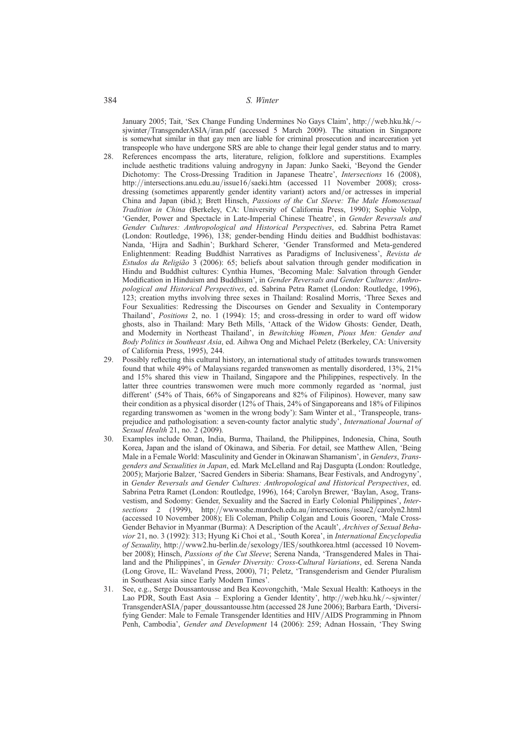January 2005; Tait, 'Sex Change Funding Undermines No Gays Claim', http://web.hku.hk/ $\sim$ sjwinter/TransgenderASIA/iran.pdf (accessed 5 March 2009). The situation in Singapore is somewhat similar in that gay men are liable for criminal prosecution and incarceration yet transpeople who have undergone SRS are able to change their legal gender status and to marry.

- 28. References encompass the arts, literature, religion, folklore and superstitions. Examples include aesthetic traditions valuing androgyny in Japan: Junko Saeki, 'Beyond the Gender Dichotomy: The Cross-Dressing Tradition in Japanese Theatre', Intersections 16 (2008), http://intersections.anu.edu.au/issue16/saeki.htm (accessed 11 November 2008); crossdressing (sometimes apparently gender identity variant) actors and/or actresses in imperial China and Japan (ibid.); Brett Hinsch, Passions of the Cut Sleeve: The Male Homosexual Tradition in China (Berkeley, CA: University of California Press, 1990); Sophie Volpp, 'Gender, Power and Spectacle in Late-Imperial Chinese Theatre', in Gender Reversals and Gender Cultures: Anthropological and Historical Perspectives, ed. Sabrina Petra Ramet (London: Routledge, 1996), 138; gender-bending Hindu deities and Buddhist bodhistavas: Nanda, 'Hijra and Sadhin'; Burkhard Scherer, 'Gender Transformed and Meta-gendered Enlightenment: Reading Buddhist Narratives as Paradigms of Inclusiveness', Revista de Estudos da Religião 3 (2006): 65; beliefs about salvation through gender modification in Hindu and Buddhist cultures: Cynthia Humes, 'Becoming Male: Salvation through Gender Modification in Hinduism and Buddhism', in Gender Reversals and Gender Cultures: Anthropological and Historical Perspectives, ed. Sabrina Petra Ramet (London: Routledge, 1996), 123; creation myths involving three sexes in Thailand: Rosalind Morris, 'Three Sexes and Four Sexualities: Redressing the Discourses on Gender and Sexuality in Contemporary Thailand', *Positions* 2, no. 1 (1994): 15; and cross-dressing in order to ward off widow ghosts, also in Thailand: Mary Beth Mills, 'Attack of the Widow Ghosts: Gender, Death, and Modernity in Northeast Thailand', in Bewitching Women, Pious Men: Gender and Body Politics in Southeast Asia, ed. Aihwa Ong and Michael Peletz (Berkeley, CA: University of California Press, 1995), 244.
- 29. Possibly reflecting this cultural history, an international study of attitudes towards transwomen found that while 49% of Malaysians regarded transwomen as mentally disordered, 13%, 21% and 15% shared this view in Thailand, Singapore and the Philippines, respectively. In the latter three countries transwomen were much more commonly regarded as 'normal, just different' (54% of Thais, 66% of Singaporeans and 82% of Filipinos). However, many saw their condition as a physical disorder (12% of Thais, 24% of Singaporeans and 18% of Filipinos regarding transwomen as 'women in the wrong body'): Sam Winter et al., 'Transpeople, transprejudice and pathologisation: a seven-county factor analytic study', International Journal of Sexual Health 21, no. 2 (2009).
- 30. Examples include Oman, India, Burma, Thailand, the Philippines, Indonesia, China, South Korea, Japan and the island of Okinawa, and Siberia. For detail, see Matthew Allen, 'Being Male in a Female World: Masculinity and Gender in Okinawan Shamanism', in Genders, Transgenders and Sexualities in Japan, ed. Mark McLelland and Raj Dasgupta (London: Routledge, 2005); Marjorie Balzer, 'Sacred Genders in Siberia: Shamans, Bear Festivals, and Androgyny', in Gender Reversals and Gender Cultures: Anthropological and Historical Perspectives, ed. Sabrina Petra Ramet (London: Routledge, 1996), 164; Carolyn Brewer, 'Baylan, Asog, Transvestism, and Sodomy: Gender, Sexuality and the Sacred in Early Colonial Philippines', Intersections 2 (1999), http://www.she.murdoch.edu.au/intersections/issue2/carolyn2.html (accessed 10 November 2008); Eli Coleman, Philip Colgan and Louis Gooren, 'Male Cross-Gender Behavior in Myanmar (Burma): A Description of the Acault', Archives of Sexual Behavior 21, no. 3 (1992): 313; Hyung Ki Choi et al., 'South Korea', in International Encyclopedia of Sexuality, http://www2.hu-berlin.de/sexology/IES/southkorea.html (accessed 10 November 2008); Hinsch, Passions of the Cut Sleeve; Serena Nanda, 'Transgendered Males in Thailand and the Philippines', in Gender Diversity: Cross-Cultural Variations, ed. Serena Nanda (Long Grove, IL: Waveland Press, 2000), 71; Peletz, 'Transgenderism and Gender Pluralism in Southeast Asia since Early Modern Times'.
- 31. See, e.g., Serge Doussantousse and Bea Keovongchith, 'Male Sexual Health: Kathoeys in the Lao PDR, South East Asia - Exploring a Gender Identity', http://web.hku.hk/~sjwinter/ TransgenderASIA/paper\_doussantousse.htm (accessed 28 June 2006); Barbara Earth, 'Diversifying Gender: Male to Female Transgender Identities and HIV/AIDS Programming in Phnom Penh, Cambodia', Gender and Development 14 (2006): 259; Adnan Hossain, 'They Swing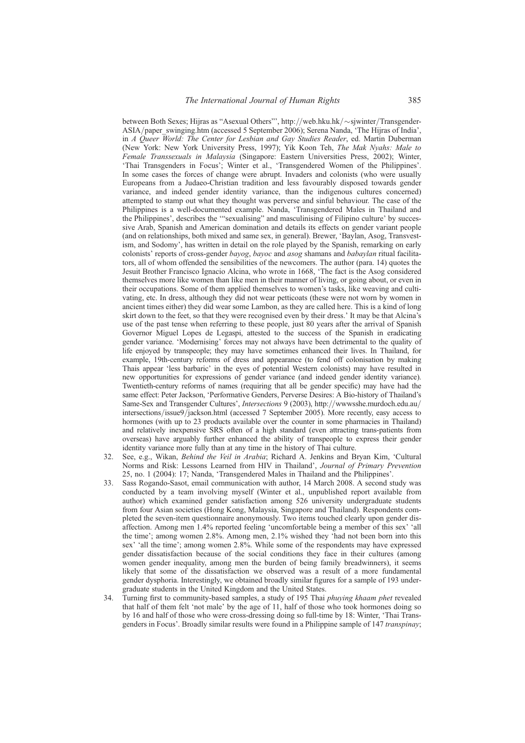between Both Sexes; Hijras as "Asexual Others"', http://web.hku.hk/~sjwinter/Transgender-ASIA/paper\_swinging.htm (accessed 5 September 2006); Serena Nanda, 'The Hijras of India', in A Queer World: The Center for Lesbian and Gay Studies Reader, ed. Martin Duberman (New York: New York University Press, 1997); Yik Koon Teh, The Mak Nyahs: Male to Female Transsexuals in Malaysia (Singapore: Eastern Universities Press, 2002); Winter, 'Thai Transgenders in Focus'; Winter et al., 'Transgendered Women of the Philippines'. In some cases the forces of change were abrupt. Invaders and colonists (who were usually Europeans from a Judaeo-Christian tradition and less favourably disposed towards gender variance, and indeed gender identity variance, than the indigenous cultures concerned) attempted to stamp out what they thought was perverse and sinful behaviour. The case of the Philippines is a well-documented example. Nanda, 'Transgendered Males in Thailand and the Philippines', describes the '"sexualising" and masculinising of Filipino culture' by successive Arab, Spanish and American domination and details its effects on gender variant people (and on relationships, both mixed and same sex, in general). Brewer, 'Baylan, Asog, Transvestism, and Sodomy', has written in detail on the role played by the Spanish, remarking on early colonists' reports of cross-gender bayog, bayoc and asog shamans and babaylan ritual facilitators, all of whom offended the sensibilities of the newcomers. The author (para. 14) quotes the Jesuit Brother Francisco Ignacio Alcina, who wrote in 1668, 'The fact is the Asog considered themselves more like women than like men in their manner of living, or going about, or even in their occupations. Some of them applied themselves to women's tasks, like weaving and cultivating, etc. In dress, although they did not wear petticoats (these were not worn by women in ancient times either) they did wear some Lambon, as they are called here. This is a kind of long skirt down to the feet, so that they were recognised even by their dress.' It may be that Alcina's use of the past tense when referring to these people, just 80 years after the arrival of Spanish Governor Miguel Lopes de Legaspi, attested to the success of the Spanish in eradicating gender variance. 'Modernising' forces may not always have been detrimental to the quality of life enjoyed by transpeople; they may have sometimes enhanced their lives. In Thailand, for example, 19th-century reforms of dress and appearance (to fend off colonisation by making Thais appear 'less barbaric' in the eyes of potential Western colonists) may have resulted in new opportunities for expressions of gender variance (and indeed gender identity variance). Twentieth-century reforms of names (requiring that all be gender specific) may have had the same effect: Peter Jackson, 'Performative Genders, Perverse Desires: A Bio-history of Thailand's Same-Sex and Transgender Cultures', Intersections 9 (2003), http://wwwsshe.murdoch.edu.au/ intersections/issue9/jackson.html (accessed 7 September 2005). More recently, easy access to hormones (with up to 23 products available over the counter in some pharmacies in Thailand) and relatively inexpensive SRS often of a high standard (even attracting trans-patients from overseas) have arguably further enhanced the ability of transpeople to express their gender identity variance more fully than at any time in the history of Thai culture.

- 32. See, e.g., Wikan, Behind the Veil in Arabia; Richard A. Jenkins and Bryan Kim, 'Cultural Norms and Risk: Lessons Learned from HIV in Thailand', Journal of Primary Prevention 25, no. 1 (2004): 17; Nanda, 'Transgendered Males in Thailand and the Philippines'.
- 33. Sass Rogando-Sasot, email communication with author, 14 March 2008. A second study was conducted by a team involving myself (Winter et al., unpublished report available from author) which examined gender satisfaction among 526 university undergraduate students from four Asian societies (Hong Kong, Malaysia, Singapore and Thailand). Respondents completed the seven-item questionnaire anonymously. Two items touched clearly upon gender disaffection. Among men 1.4% reported feeling 'uncomfortable being a member of this sex' 'all the time'; among women 2.8%. Among men, 2.1% wished they 'had not been born into this sex' 'all the time'; among women 2.8%. While some of the respondents may have expressed gender dissatisfaction because of the social conditions they face in their cultures (among women gender inequality, among men the burden of being family breadwinners), it seems likely that some of the dissatisfaction we observed was a result of a more fundamental gender dysphoria. Interestingly, we obtained broadly similar figures for a sample of 193 undergraduate students in the United Kingdom and the United States.
- 34. Turning first to community-based samples, a study of 195 Thai phuying khaam phet revealed that half of them felt 'not male' by the age of 11, half of those who took hormones doing so by 16 and half of those who were cross-dressing doing so full-time by 18: Winter, 'Thai Transgenders in Focus'. Broadly similar results were found in a Philippine sample of 147 transpinay;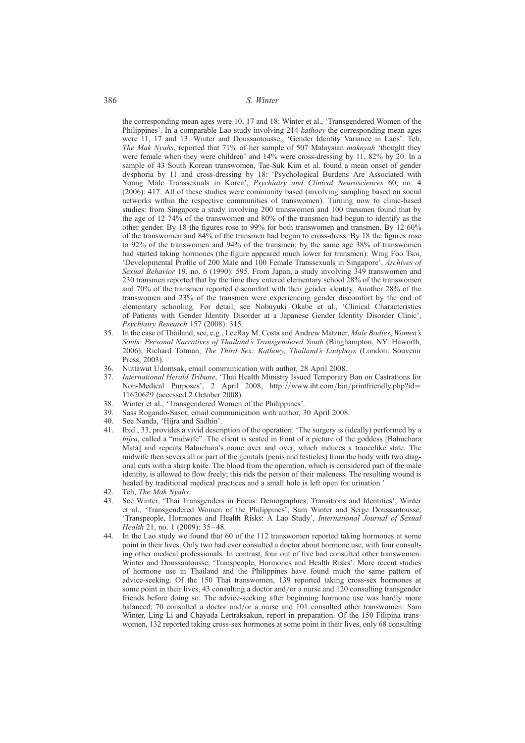the corresponding mean ages were 10, 17 and 18: Winter et al., 'Transgendered Women of the Philippines'. In a comparable Lao study involving 214 kathoey the corresponding mean ages were 11, 17 and 13: Winter and Doussantousse,, 'Gender Identity Variance in Laos'. Teh, The Mak Nyahs, reported that 71% of her sample of 507 Malaysian maknyah 'thought they were female when they were children' and 14% were cross-dressing by 11, 82% by 20. In a sample of 43 South Korean transwomen, Tae-Suk Kim et al. found a mean onset of gender dysphoria by 11 and cross-dressing by 18: 'Psychological Burdens Are Associated with Young Male Transsexuals in Korea', Psychiatry and Clinical Neurosciences 60, no. 4 (2006): 417. All of these studies were community based (involving sampling based on social networks within the respective communities of transwomen). Turning now to clinic-based studies: from Singapore a study involving 200 transwomen and 100 transmen found that by the age of 12 74% of the transwomen and 80% of the transmen had begun to identify as the other gender. By 18 the figures rose to 99% for both transwomen and transmen. By 12 60% of the transwomen and 84% of the transmen had begun to cross-dress. By 18 the figures rose to 92% of the transwomen and 94% of the transmen; by the same age 38% of transwomen had started taking hormones (the figure appeared much lower for transmen): Wing Foo Tsoi, 'Developmental Profile of 200 Male and 100 Female Transsexuals in Singapore', Archives of Sexual Behavior 19, no. 6 (1990): 595. From Japan, a study involving 349 transwomen and 230 transmen reported that by the time they entered elementary school 28% of the transwomen and 70% of the transmen reported discomfort with their gender identity. Another 28% of the transwomen and 23% of the transmen were experiencing gender discomfort by the end of elementary schooling. For detail, see Nobuyuki Okabe et al., 'Clinical Characteristics of Patients with Gender Identity Disorder at a Japanese Gender Identity Disorder Clinic', Psychiatry Research 157 (2008): 315.

- 35. In the case of Thailand, see, e.g., LeeRay M. Costa and Andrew Matzner, Male Bodies, Women's Souls: Personal Narratives of Thailand's Transgendered Youth (Binghampton, NY: Haworth, 2006); Richard Totman, The Third Sex: Kathoey, Thailand's Ladyboys (London: Souvenir Press, 2003).
- 36. Nuttawut Udomsak, email communication with author, 28 April 2008.
- 37. *International Herald Tribune*, 'Thai Health Ministry Issued Temporary Ban on Castrations for Non-Medical Purposes', 2 April 2008, http://www.iht.com/bin/printfriendly.php?id= 11620629 (accessed 2 October 2008).
- 38. Winter et al., 'Transgendered Women of the Philippines'.
- Sass Rogando-Sasot, email communication with author, 30 April 2008.
- 40. See Nanda, 'Hijra and Sadhin'.
- 41. Ibid., 33, provides a vivid description of the operation: 'The surgery is (ideally) performed by a hijra, called a "midwife". The client is seated in front of a picture of the goddess [Bahuchara] Mata] and repeats Bahuchara's name over and over, which induces a trancelike state. The midwife then severs all or part of the genitals (penis and testicles) from the body with two diagonal cuts with a sharp knife. The blood from the operation, which is considered part of the male identity, is allowed to flow freely; this rids the person of their maleness. The resulting wound is healed by traditional medical practices and a small hole is left open for urination.'
- 42. Teh, The Mak Nyahs.
- 43. See Winter, 'Thai Transgenders in Focus: Demographics, Transitions and Identities'; Winter et al., 'Transgendered Women of the Philippines'; Sam Winter and Serge Doussantousse, 'Transpeople, Hormones and Health Risks: A Lao Study', International Journal of Sexual Health 21, no. 1 (2009): 35-48.
- 44. In the Lao study we found that 60 of the 112 transwomen reported taking hormones at some point in their lives. Only two had ever consulted a doctor about hormone use, with four consulting other medical professionals. In contrast, four out of five had consulted other transwomen: Winter and Doussantousse, 'Transpeople, Hormones and Health Risks'. More recent studies of hormone use in Thailand and the Philippines have found much the same pattern of advice-seeking. Of the 150 Thai transwomen, 139 reported taking cross-sex hormones at some point in their lives, 43 consulting a doctor and/or a nurse and 120 consulting transgender friends before doing so. The advice-seeking after beginning hormone use was hardly more balanced; 70 consulted a doctor and/or a nurse and 101 consulted other transwomen: Sam Winter, Ling Li and Chayada Lertraksakun, report in preparation. Of the 150 Filipina transwomen, 132 reported taking cross-sex hormones at some point in their lives, only 68 consulting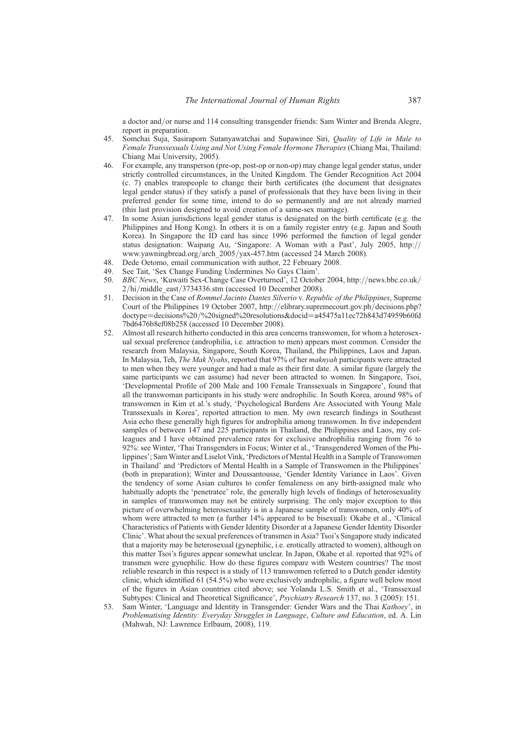a doctor and/or nurse and 114 consulting transgender friends: Sam Winter and Brenda Alegre, report in preparation.

- 45. Somchai Suja, Sasiraporn Sutanyawatchai and Supawinee Siri, Quality of Life in Male to Female Transsexuals Using and Not Using Female Hormone Therapies (Chiang Mai, Thailand: Chiang Mai University, 2005).
- 46. For example, any transperson (pre-op, post-op or non-op) may change legal gender status, under strictly controlled circumstances, in the United Kingdom. The Gender Recognition Act 2004 (c. 7) enables transpeople to change their birth certificates (the document that designates legal gender status) if they satisfy a panel of professionals that they have been living in their preferred gender for some time, intend to do so permanently and are not already married (this last provision designed to avoid creation of a same-sex marriage).
- 47. In some Asian jurisdictions legal gender status is designated on the birth certificate (e.g. the Philippines and Hong Kong). In others it is on a family register entry (e.g. Japan and South Korea). In Singapore the ID card has since 1996 performed the function of legal gender status designation: Waipang Au, 'Singapore: A Woman with a Past', July 2005, http:// www.yawningbread.org/arch\_2005/yax-457.htm (accessed 24 March 2008).
- 48. Dede Oetomo, email communication with author, 22 February 2008.
- 49. See Tait, 'Sex Change Funding Undermines No Gays Claim'.
- 50. BBC News, 'Kuwaiti Sex-Change Case Overturned', 12 October 2004, http://news.bbc.co.uk/ 2/hi/middle\_east/3734336.stm (accessed 10 December 2008).
- 51. Decision in the Case of Rommel Jacinto Dantes Silverio v. Republic of the Philippines, Supreme Court of the Philippines 19 October 2007, http://elibrary.supremecourt.gov.ph/decisions.php?  $dotype=decisions\frac{9}{20}/\frac{20}{3}$ signed%20resolutions&docid=a45475a11ec72b843d74959b60fd 7bd6476b8ef08b258 (accessed 10 December 2008).
- 52. Almost all research hitherto conducted in this area concerns transwomen, for whom a heterosexual sexual preference (androphilia, i.e. attraction to men) appears most common. Consider the research from Malaysia, Singapore, South Korea, Thailand, the Philippines, Laos and Japan. In Malaysia, Teh, The Mak Nyahs, reported that 97% of her maknyah participants were attracted to men when they were younger and had a male as their first date. A similar figure (largely the same participants we can assume) had never been attracted to women. In Singapore, Tsoi, 'Developmental Profile of 200 Male and 100 Female Transsexuals in Singapore', found that all the transwoman participants in his study were androphilic. In South Korea, around 98% of transwomen in Kim et al.'s study, 'Psychological Burdens Are Associated with Young Male Transsexuals in Korea', reported attraction to men. My own research findings in Southeast Asia echo these generally high figures for androphilia among transwomen. In five independent samples of between 147 and 225 participants in Thailand, the Philippines and Laos, my colleagues and I have obtained prevalence rates for exclusive androphilia ranging from 76 to 92%: see Winter, 'Thai Transgenders in Focus; Winter et al., 'Transgendered Women of the Philippines'; Sam Winter and Liselot Vink, 'Predictors of Mental Health in a Sample of Transwomen in Thailand' and 'Predictors of Mental Health in a Sample of Transwomen in the Philippines' (both in preparation); Winter and Doussantousse, 'Gender Identity Variance in Laos'. Given the tendency of some Asian cultures to confer femaleness on any birth-assigned male who habitually adopts the 'penetratee' role, the generally high levels of findings of heterosexuality in samples of transwomen may not be entirely surprising. The only major exception to this picture of overwhelming heterosexuality is in a Japanese sample of transwomen, only 40% of whom were attracted to men (a further 14% appeared to be bisexual): Okabe et al., 'Clinical Characteristics of Patients with Gender Identity Disorder at a Japanese Gender Identity Disorder Clinic'. What about the sexual preferences of transmen in Asia? Tsoi's Singapore study indicated that a majority may be heterosexual (gynephilic, i.e. erotically attracted to women), although on this matter Tsoi's figures appear somewhat unclear. In Japan, Okabe et al. reported that 92% of transmen were gynephilic. How do these figures compare with Western countries? The most reliable research in this respect is a study of 113 transwomen referred to a Dutch gender identity clinic, which identified 61 (54.5%) who were exclusively androphilic, a figure well below most of the figures in Asian countries cited above; see Yolanda L.S. Smith et al., 'Transsexual Subtypes: Clinical and Theoretical Significance', Psychiatry Research 137, no. 3 (2005): 151.
- 53. Sam Winter, 'Language and Identity in Transgender: Gender Wars and the Thai Kathoey', in Problematising Identity: Everyday Struggles in Language, Culture and Education, ed. A. Lin (Mahwah, NJ: Lawrence Erlbaum, 2008), 119.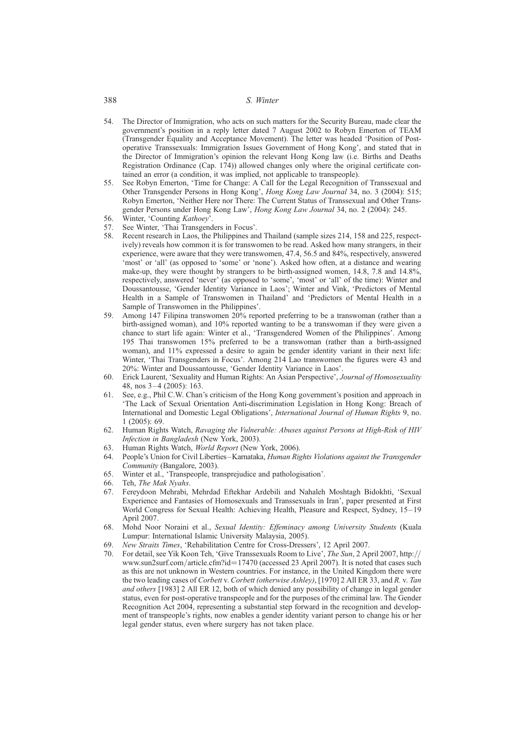- 54. The Director of Immigration, who acts on such matters for the Security Bureau, made clear the government's position in a reply letter dated 7 August 2002 to Robyn Emerton of TEAM (Transgender Equality and Acceptance Movement). The letter was headed 'Position of Postoperative Transsexuals: Immigration Issues Government of Hong Kong', and stated that in the Director of Immigration's opinion the relevant Hong Kong law (i.e. Births and Deaths Registration Ordinance (Cap. 174)) allowed changes only where the original certificate contained an error (a condition, it was implied, not applicable to transpeople).
- 55. See Robyn Emerton, 'Time for Change: A Call for the Legal Recognition of Transsexual and Other Transgender Persons in Hong Kong', Hong Kong Law Journal 34, no. 3 (2004): 515; Robyn Emerton, 'Neither Here nor There: The Current Status of Transsexual and Other Transgender Persons under Hong Kong Law', Hong Kong Law Journal 34, no. 2 (2004): 245.
- 56. Winter, 'Counting Kathoey'.
- 57. See Winter, 'Thai Transgenders in Focus'.
- 58. Recent research in Laos, the Philippines and Thailand (sample sizes 214, 158 and 225, respectively) reveals how common it is for transwomen to be read. Asked how many strangers, in their experience, were aware that they were transwomen, 47.4, 56.5 and 84%, respectively, answered 'most' or 'all' (as opposed to 'some' or 'none'). Asked how often, at a distance and wearing make-up, they were thought by strangers to be birth-assigned women, 14.8, 7.8 and 14.8%, respectively, answered 'never' (as opposed to 'some', 'most' or 'all' of the time): Winter and Doussantousse, 'Gender Identity Variance in Laos'; Winter and Vink, 'Predictors of Mental Health in a Sample of Transwomen in Thailand' and 'Predictors of Mental Health in a Sample of Transwomen in the Philippines'.
- 59. Among 147 Filipina transwomen 20% reported preferring to be a transwoman (rather than a birth-assigned woman), and 10% reported wanting to be a transwoman if they were given a chance to start life again: Winter et al., 'Transgendered Women of the Philippines'. Among 195 Thai transwomen 15% preferred to be a transwoman (rather than a birth-assigned woman), and 11% expressed a desire to again be gender identity variant in their next life: Winter, 'Thai Transgenders in Focus'. Among 214 Lao transwomen the figures were 43 and 20%: Winter and Doussantousse, 'Gender Identity Variance in Laos'.
- 60. Erick Laurent, 'Sexuality and Human Rights: An Asian Perspective', Journal of Homosexuality 48, nos 3–4 (2005): 163.
- 61. See, e.g., Phil C.W. Chan's criticism of the Hong Kong government's position and approach in 'The Lack of Sexual Orientation Anti-discrimination Legislation in Hong Kong: Breach of International and Domestic Legal Obligations', International Journal of Human Rights 9, no. 1 (2005): 69.
- 62. Human Rights Watch, Ravaging the Vulnerable: Abuses against Persons at High-Risk of HIV Infection in Bangladesh (New York, 2003).
- 63. Human Rights Watch, World Report (New York, 2006).
- 64. People's Union for Civil Liberties–Karnataka, Human Rights Violations against the Transgender Community (Bangalore, 2003).
- 65. Winter et al., 'Transpeople, transprejudice and pathologisation'.
- 66. Teh, The Mak Nyahs.
- 67. Fereydoon Mehrabi, Mehrdad Eftekhar Ardebili and Nahaleh Moshtagh Bidokhti, 'Sexual Experience and Fantasies of Homosexuals and Transsexuals in Iran', paper presented at First World Congress for Sexual Health: Achieving Health, Pleasure and Respect, Sydney, 15–19 April 2007.
- 68. Mohd Noor Noraini et al., Sexual Identity: Effeminacy among University Students (Kuala Lumpur: International Islamic University Malaysia, 2005).
- 69. New Straits Times, 'Rehabilitation Centre for Cross-Dressers', 12 April 2007.
- 70. For detail, see Yik Koon Teh, 'Give Transsexuals Room to Live', The Sun, 2 April 2007, http:// www.sun2surf.com/article.cfm?id=17470 (accessed 23 April 2007). It is noted that cases such as this are not unknown in Western countries. For instance, in the United Kingdom there were the two leading cases of Corbett v. Corbett (otherwise Ashley), [1970] 2 All ER 33, and R. v. Tan and others [1983] 2 All ER 12, both of which denied any possibility of change in legal gender status, even for post-operative transpeople and for the purposes of the criminal law. The Gender Recognition Act 2004, representing a substantial step forward in the recognition and development of transpeople's rights, now enables a gender identity variant person to change his or her legal gender status, even where surgery has not taken place.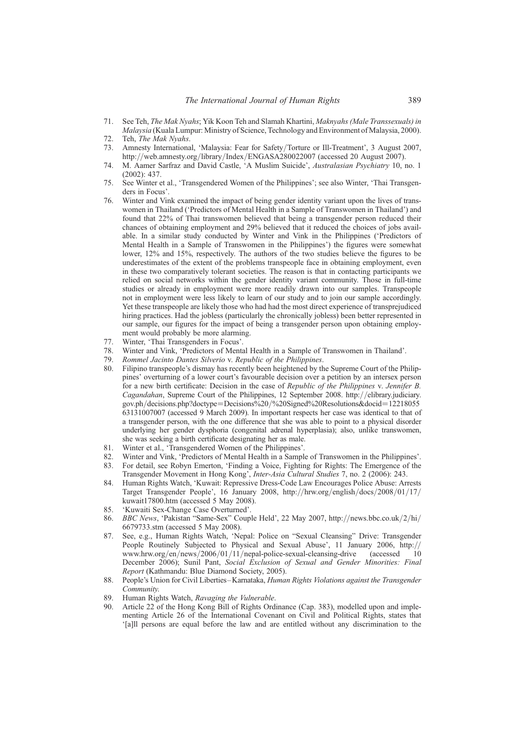71. See Teh, The Mak Nyahs; Yik Koon Teh and Slamah Khartini, Maknyahs (Male Transsexuals) in Malaysia (Kuala Lumpur: Ministry of Science, Technology and Environment of Malaysia, 2000).

- 73. Amnesty International, 'Malaysia: Fear for Safety/Torture or Ill-Treatment', 3 August 2007, http://web.amnesty.org/library/Index/ENGASA280022007 (accessed 20 August 2007).
- 74. M. Aamer Sarfraz and David Castle, 'A Muslim Suicide', Australasian Psychiatry 10, no. 1 (2002): 437.
- 75. See Winter et al., 'Transgendered Women of the Philippines'; see also Winter, 'Thai Transgenders in Focus'.
- 76. Winter and Vink examined the impact of being gender identity variant upon the lives of transwomen in Thailand ('Predictors of Mental Health in a Sample of Transwomen in Thailand') and found that 22% of Thai transwomen believed that being a transgender person reduced their chances of obtaining employment and 29% believed that it reduced the choices of jobs available. In a similar study conducted by Winter and Vink in the Philippines ('Predictors of Mental Health in a Sample of Transwomen in the Philippines') the figures were somewhat lower, 12% and 15%, respectively. The authors of the two studies believe the figures to be underestimates of the extent of the problems transpeople face in obtaining employment, even in these two comparatively tolerant societies. The reason is that in contacting participants we relied on social networks within the gender identity variant community. Those in full-time studies or already in employment were more readily drawn into our samples. Transpeople not in employment were less likely to learn of our study and to join our sample accordingly. Yet these transpeople are likely those who had had the most direct experience of transprejudiced hiring practices. Had the jobless (particularly the chronically jobless) been better represented in our sample, our figures for the impact of being a transgender person upon obtaining employment would probably be more alarming.
- 77. Winter, 'Thai Transgenders in Focus'.
- 78. Winter and Vink, 'Predictors of Mental Health in a Sample of Transwomen in Thailand'.
- 79. Rommel Jacinto Dantes Silverio v. Republic of the Philippines.
- 80. Filipino transpeople's dismay has recently been heightened by the Supreme Court of the Philippines' overturning of a lower court's favourable decision over a petition by an intersex person for a new birth certificate: Decision in the case of Republic of the Philippines v. Jennifer B. Cagandahan, Supreme Court of the Philippines, 12 September 2008. http://elibrary.judiciary. gov.ph/decisions.php?doctype=Decisions%20/%20Signed%20Resolutions&docid=12218055 63131007007 (accessed 9 March 2009). In important respects her case was identical to that of a transgender person, with the one difference that she was able to point to a physical disorder underlying her gender dysphoria (congenital adrenal hyperplasia); also, unlike transwomen, she was seeking a birth certificate designating her as male.
- 81. Winter et al., 'Transgendered Women of the Philippines'.
- 82. Winter and Vink, 'Predictors of Mental Health in a Sample of Transwomen in the Philippines'.
- 83. For detail, see Robyn Emerton, 'Finding a Voice, Fighting for Rights: The Emergence of the Transgender Movement in Hong Kong', Inter-Asia Cultural Studies 7, no. 2 (2006): 243.
- 84. Human Rights Watch, 'Kuwait: Repressive Dress-Code Law Encourages Police Abuse: Arrests Target Transgender People', 16 January 2008, http://hrw.org/english/docs/2008/01/17/ kuwait17800.htm (accessed 5 May 2008).
- 85. 'Kuwaiti Sex-Change Case Overturned'.
- 86. BBC News, 'Pakistan "Same-Sex" Couple Held', 22 May 2007, http://news.bbc.co.uk/2/hi/ 6679733.stm (accessed 5 May 2008).
- 87. See, e.g., Human Rights Watch, 'Nepal: Police on "Sexual Cleansing" Drive: Transgender People Routinely Subjected to Physical and Sexual Abuse', 11 January 2006, http:// www.hrw.org/en/news/2006/01/11/nepal-police-sexual-cleansing-drive (accessed 10 December 2006); Sunil Pant, Social Exclusion of Sexual and Gender Minorities: Final Report (Kathmandu: Blue Diamond Society, 2005).
- 88. People's Union for Civil Liberties–Karnataka, Human Rights Violations against the Transgender **Community**.
- 89. Human Rights Watch, Ravaging the Vulnerable.
- 90. Article 22 of the Hong Kong Bill of Rights Ordinance (Cap. 383), modelled upon and implementing Article 26 of the International Covenant on Civil and Political Rights, states that '[a]ll persons are equal before the law and are entitled without any discrimination to the

<sup>72.</sup> Teh, The Mak Nyahs.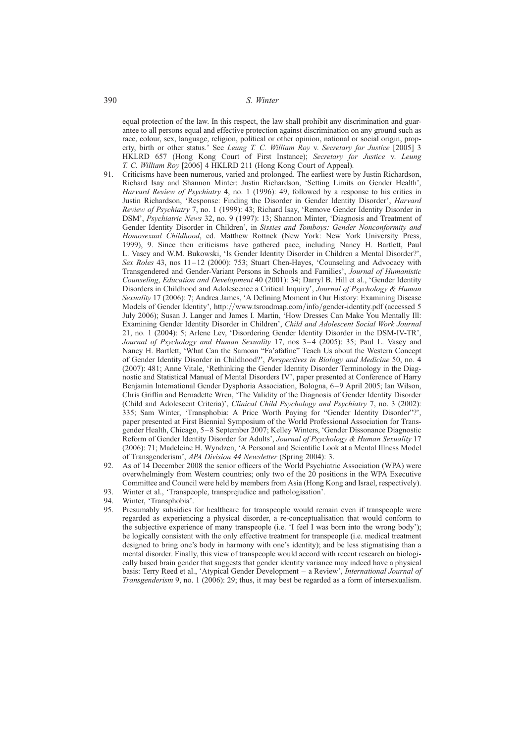equal protection of the law. In this respect, the law shall prohibit any discrimination and guarantee to all persons equal and effective protection against discrimination on any ground such as race, colour, sex, language, religion, political or other opinion, national or social origin, property, birth or other status.' See Leung T. C. William Roy v. Secretary for Justice [2005] 3 HKLRD 657 (Hong Kong Court of First Instance); Secretary for Justice v. Leung T. C. William Roy [2006] 4 HKLRD 211 (Hong Kong Court of Appeal).

- 91. Criticisms have been numerous, varied and prolonged. The earliest were by Justin Richardson, Richard Isay and Shannon Minter: Justin Richardson, 'Setting Limits on Gender Health', Harvard Review of Psychiatry 4, no. 1 (1996): 49, followed by a response to his critics in Justin Richardson, 'Response: Finding the Disorder in Gender Identity Disorder', Harvard Review of Psychiatry 7, no. 1 (1999): 43; Richard Isay, 'Remove Gender Identity Disorder in DSM', Psychiatric News 32, no. 9 (1997): 13; Shannon Minter, 'Diagnosis and Treatment of Gender Identity Disorder in Children', in Sissies and Tomboys: Gender Nonconformity and Homosexual Childhood, ed. Matthew Rottnek (New York: New York University Press, 1999), 9. Since then criticisms have gathered pace, including Nancy H. Bartlett, Paul L. Vasey and W.M. Bukowski, 'Is Gender Identity Disorder in Children a Mental Disorder?', Sex Roles 43, nos  $11-12$  (2000): 753; Stuart Chen-Hayes, 'Counseling and Advocacy with Transgendered and Gender-Variant Persons in Schools and Families', Journal of Humanistic Counseling, Education and Development 40 (2001): 34; Darryl B. Hill et al., 'Gender Identity Disorders in Childhood and Adolescence a Critical Inquiry', Journal of Psychology & Human Sexuality 17 (2006): 7; Andrea James, 'A Defining Moment in Our History: Examining Disease Models of Gender Identity', http://www.tsroadmap.com/info/gender-identity.pdf (accessed 5 July 2006); Susan J. Langer and James I. Martin, 'How Dresses Can Make You Mentally Ill: Examining Gender Identity Disorder in Children', Child and Adolescent Social Work Journal 21, no. 1 (2004): 5; Arlene Lev, 'Disordering Gender Identity Disorder in the DSM-IV-TR', Journal of Psychology and Human Sexuality 17, nos 3–4 (2005): 35; Paul L. Vasey and Nancy H. Bartlett, 'What Can the Samoan "Fa'afafine" Teach Us about the Western Concept of Gender Identity Disorder in Childhood?', Perspectives in Biology and Medicine 50, no. 4 (2007): 481; Anne Vitale, 'Rethinking the Gender Identity Disorder Terminology in the Diagnostic and Statistical Manual of Mental Disorders IV', paper presented at Conference of Harry Benjamin International Gender Dysphoria Association, Bologna, 6–9 April 2005; Ian Wilson, Chris Griffin and Bernadette Wren, 'The Validity of the Diagnosis of Gender Identity Disorder (Child and Adolescent Criteria)', Clinical Child Psychology and Psychiatry 7, no. 3 (2002): 335; Sam Winter, 'Transphobia: A Price Worth Paying for "Gender Identity Disorder"?', paper presented at First Biennial Symposium of the World Professional Association for Transgender Health, Chicago, 5– 8 September 2007; Kelley Winters, 'Gender Dissonance Diagnostic Reform of Gender Identity Disorder for Adults', Journal of Psychology & Human Sexuality 17 (2006): 71; Madeleine H. Wyndzen, 'A Personal and Scientific Look at a Mental Illness Model of Transgenderism', APA Division 44 Newsletter (Spring 2004): 3.
- 92. As of 14 December 2008 the senior officers of the World Psychiatric Association (WPA) were overwhelmingly from Western countries; only two of the 20 positions in the WPA Executive Committee and Council were held by members from Asia (Hong Kong and Israel, respectively).
- 93. Winter et al., 'Transpeople, transprejudice and pathologisation'.<br>94. Winter. 'Transphobia'.
- 94. Winter, 'Transphobia'.<br>95. Presumably subsidies
- Presumably subsidies for healthcare for transpeople would remain even if transpeople were regarded as experiencing a physical disorder, a re-conceptualisation that would conform to the subjective experience of many transpeople (i.e. 'I feel I was born into the wrong body'); be logically consistent with the only effective treatment for transpeople (i.e. medical treatment designed to bring one's body in harmony with one's identity); and be less stigmatising than a mental disorder. Finally, this view of transpeople would accord with recent research on biologically based brain gender that suggests that gender identity variance may indeed have a physical basis: Terry Reed et al., 'Atypical Gender Development – a Review', International Journal of Transgenderism 9, no. 1 (2006): 29; thus, it may best be regarded as a form of intersexualism.